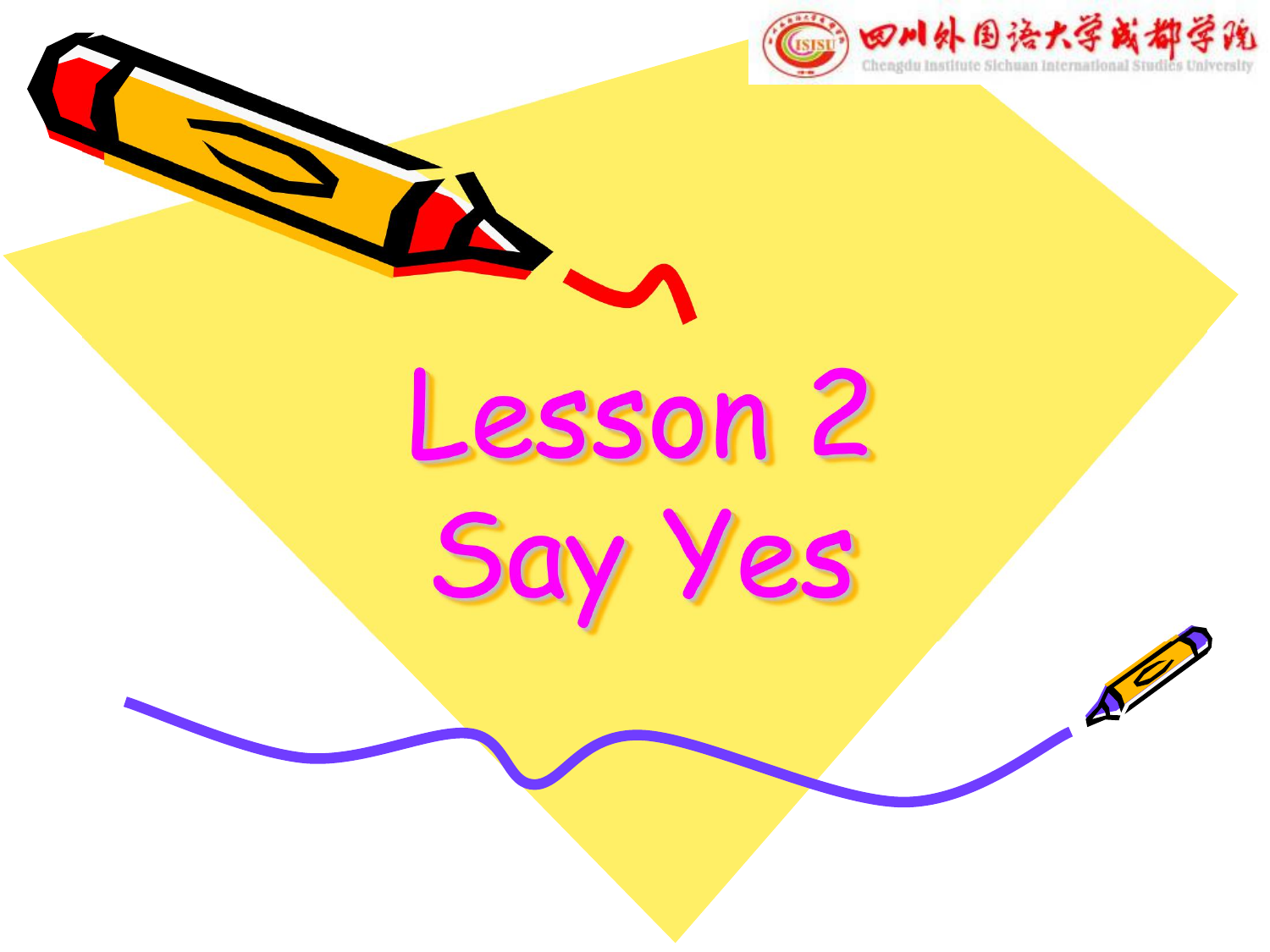

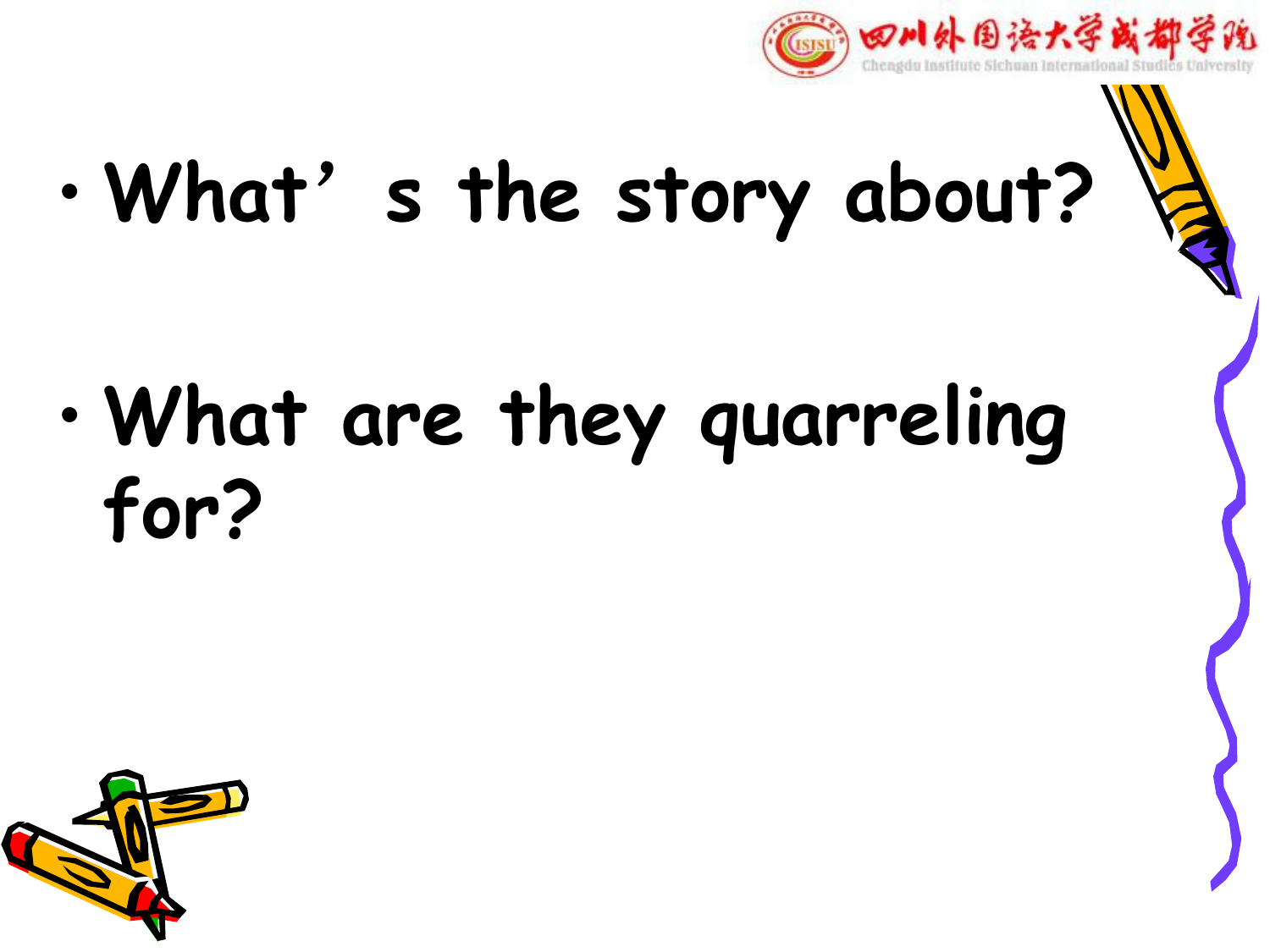

# • **What**'**s the story about?**

# • **What are they quarreling for?**

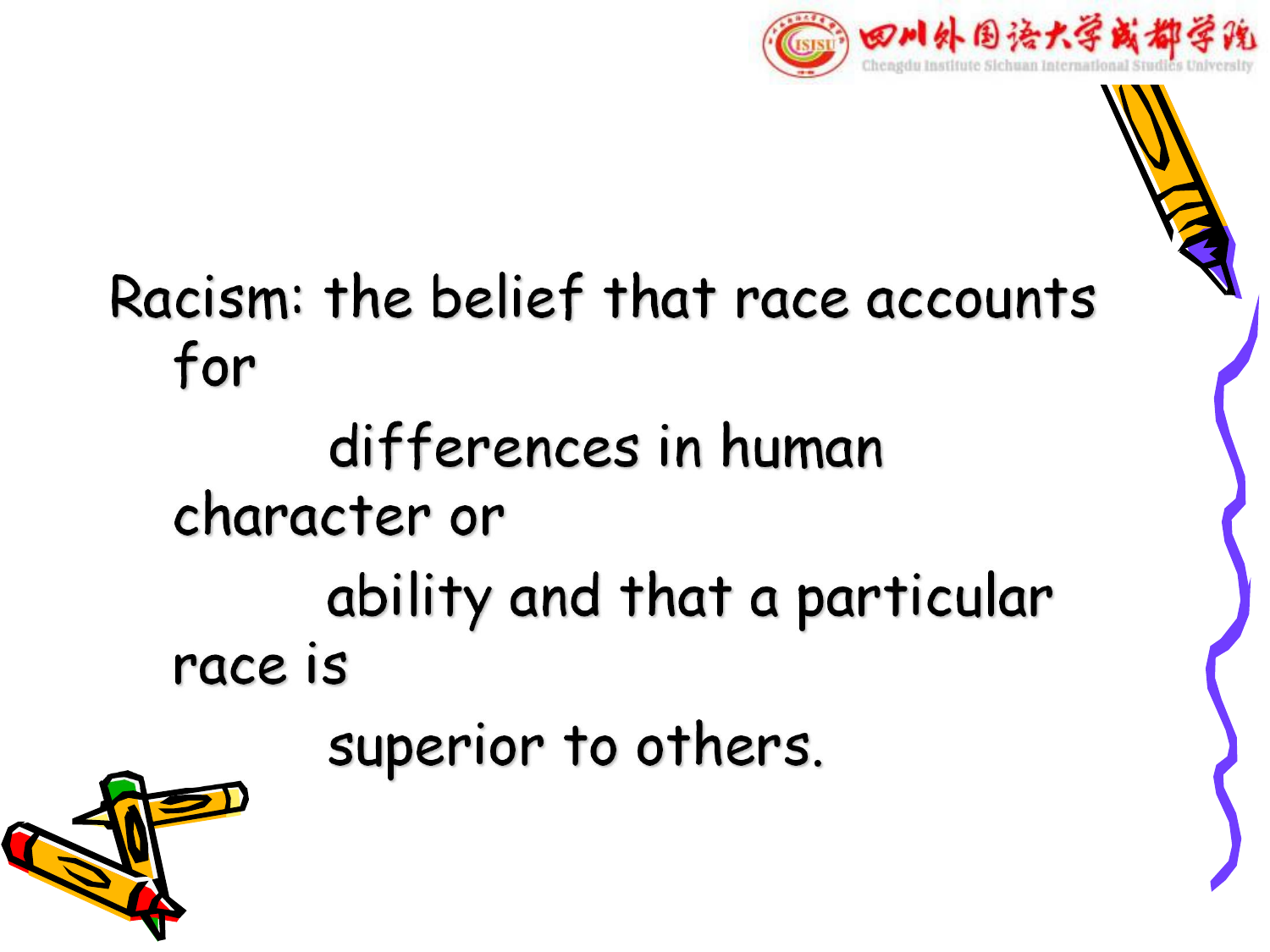

# Racism: the belief that race accounts for

#### differences in human character or

## ability and that a particular race is

superior to others.

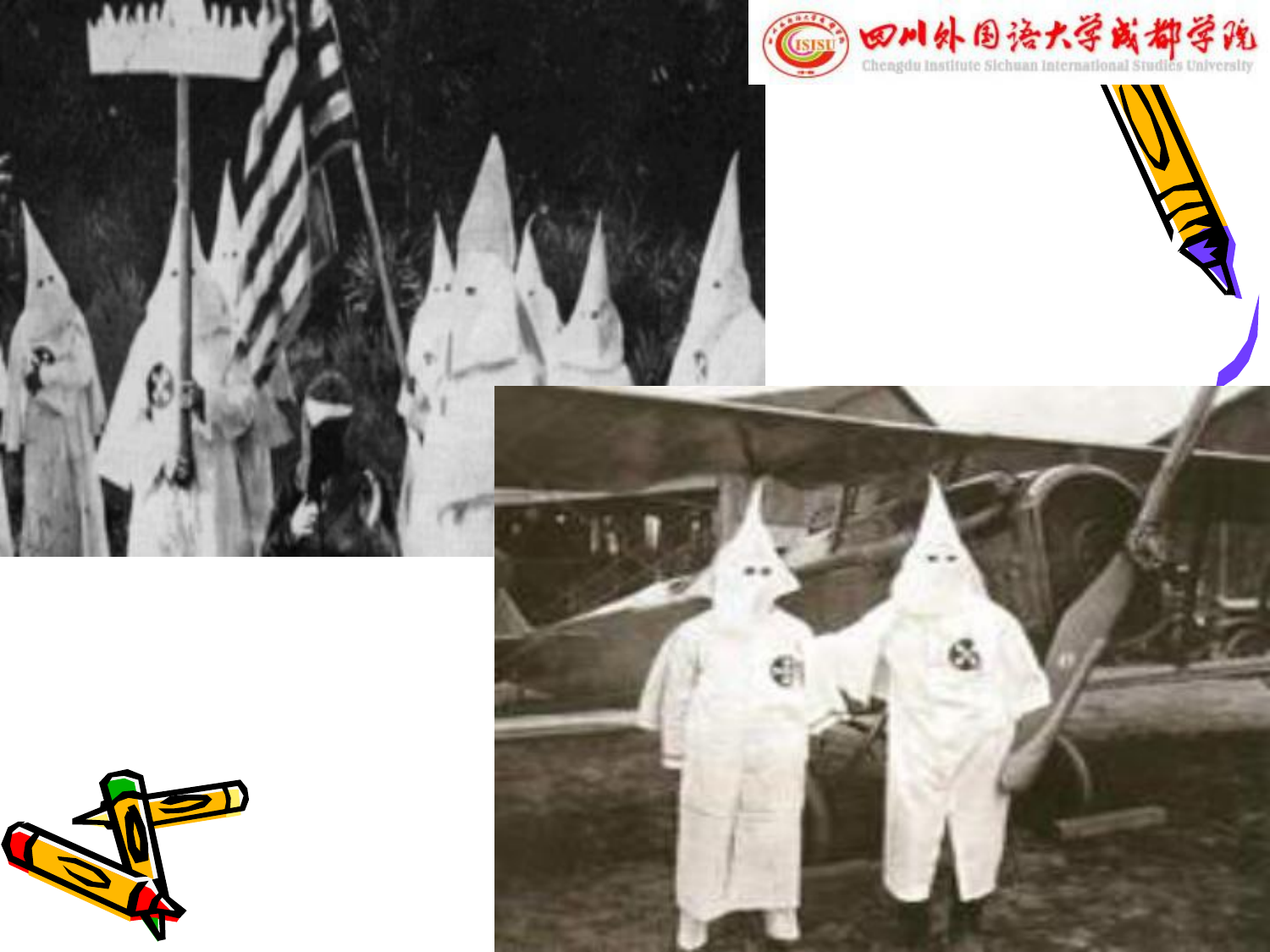

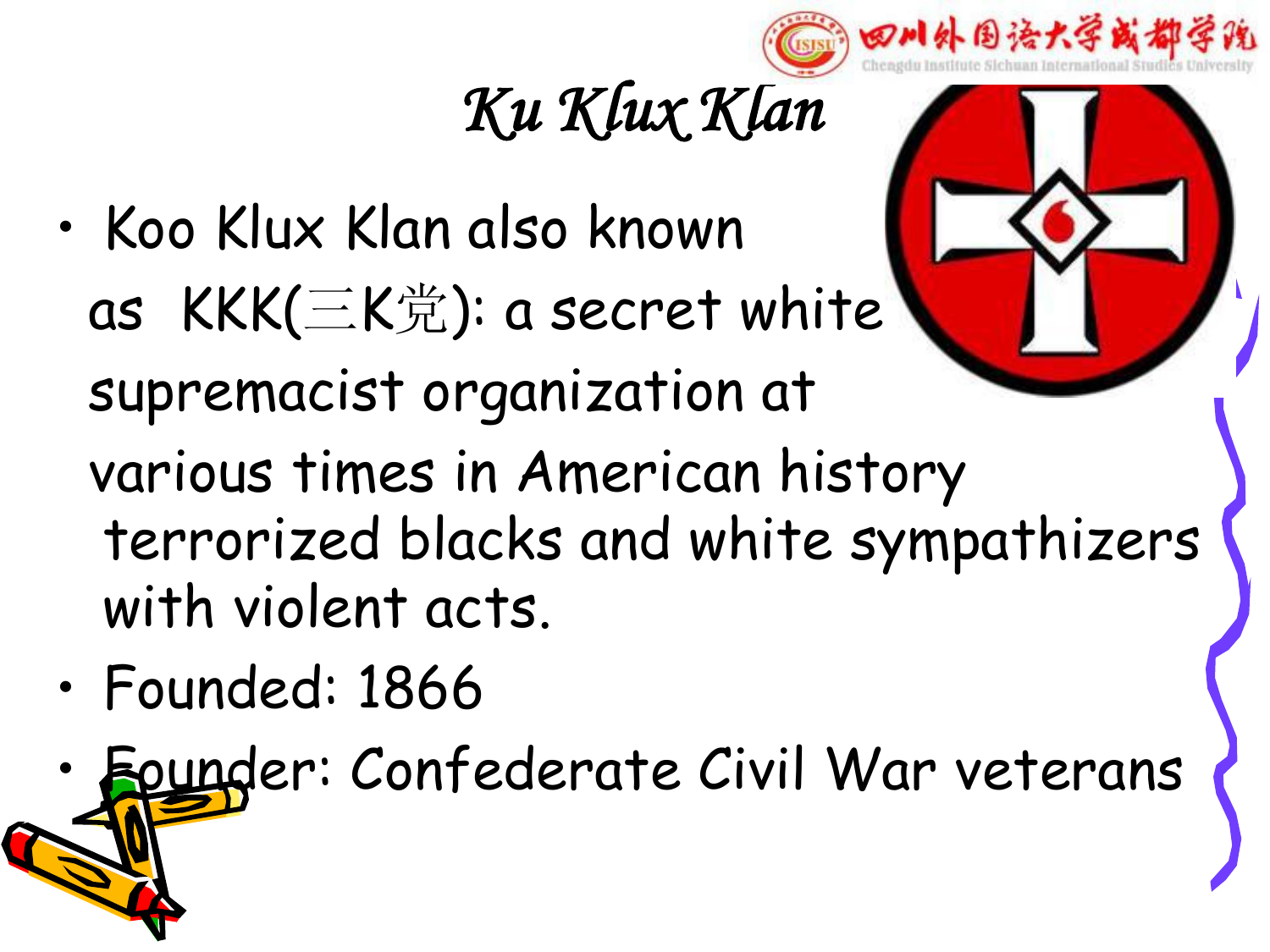

## *Ku Klux Klan*

- Koo Klux Klan also known as  $KK(\equiv K\#)$ : a secret white supremacist organization at various times in American history terrorized blacks and white sympathizers
	- with violent acts.
- Founded: 1866

• Founder: Confederate Civil War veterans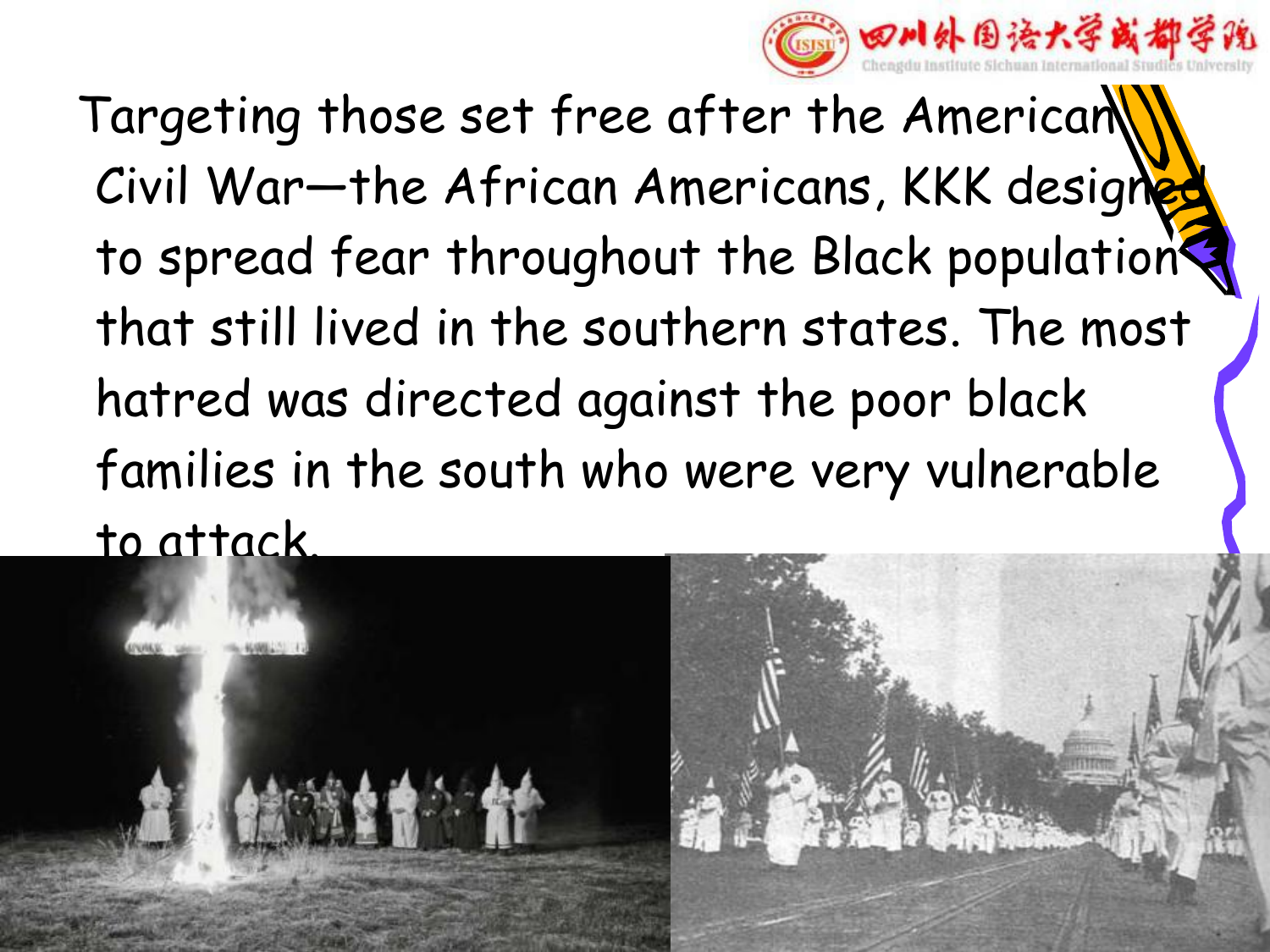

Targeting those set free after the American Civil War—the African Americans, KKK design to spread fear throughout the Black populations that still lived in the southern states. The most hatred was directed against the poor black families in the south who were very vulnerable to attack.

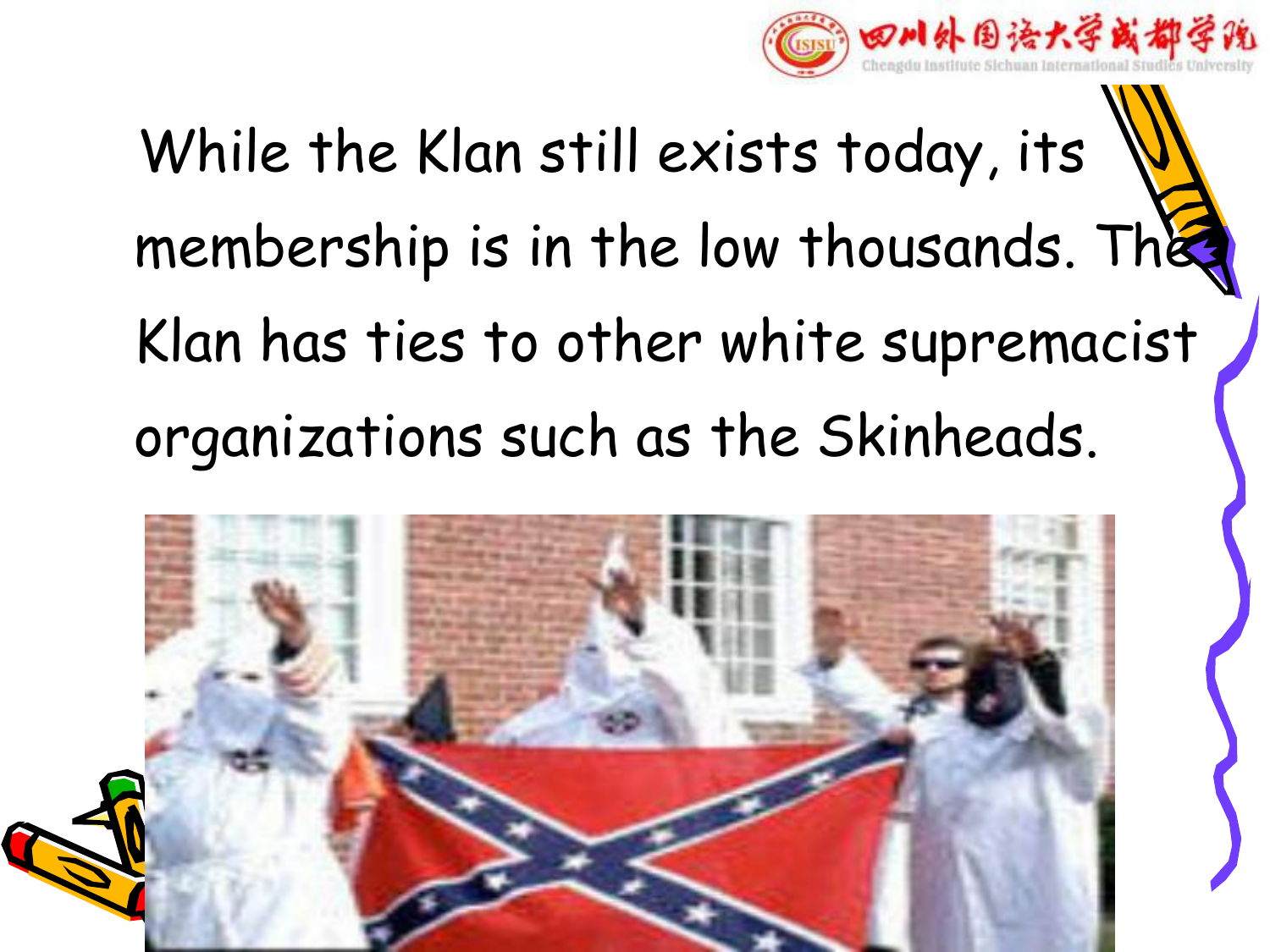

# While the Klan still exists today, its membership is in the low thousands. The Klan has ties to other white supremacist organizations such as the Skinheads.

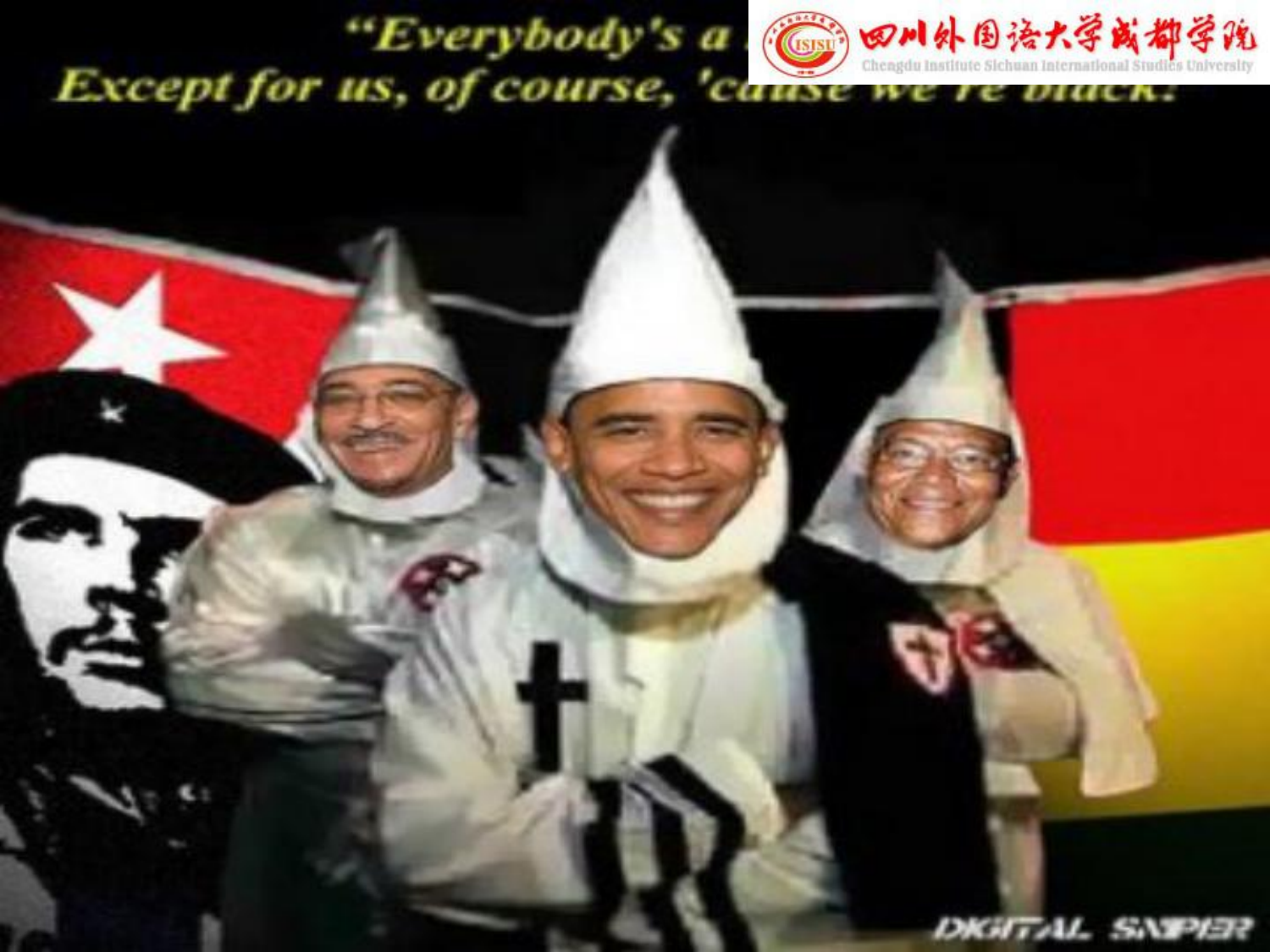# "Everybody's a Course, value we re much



DKATAL SNPER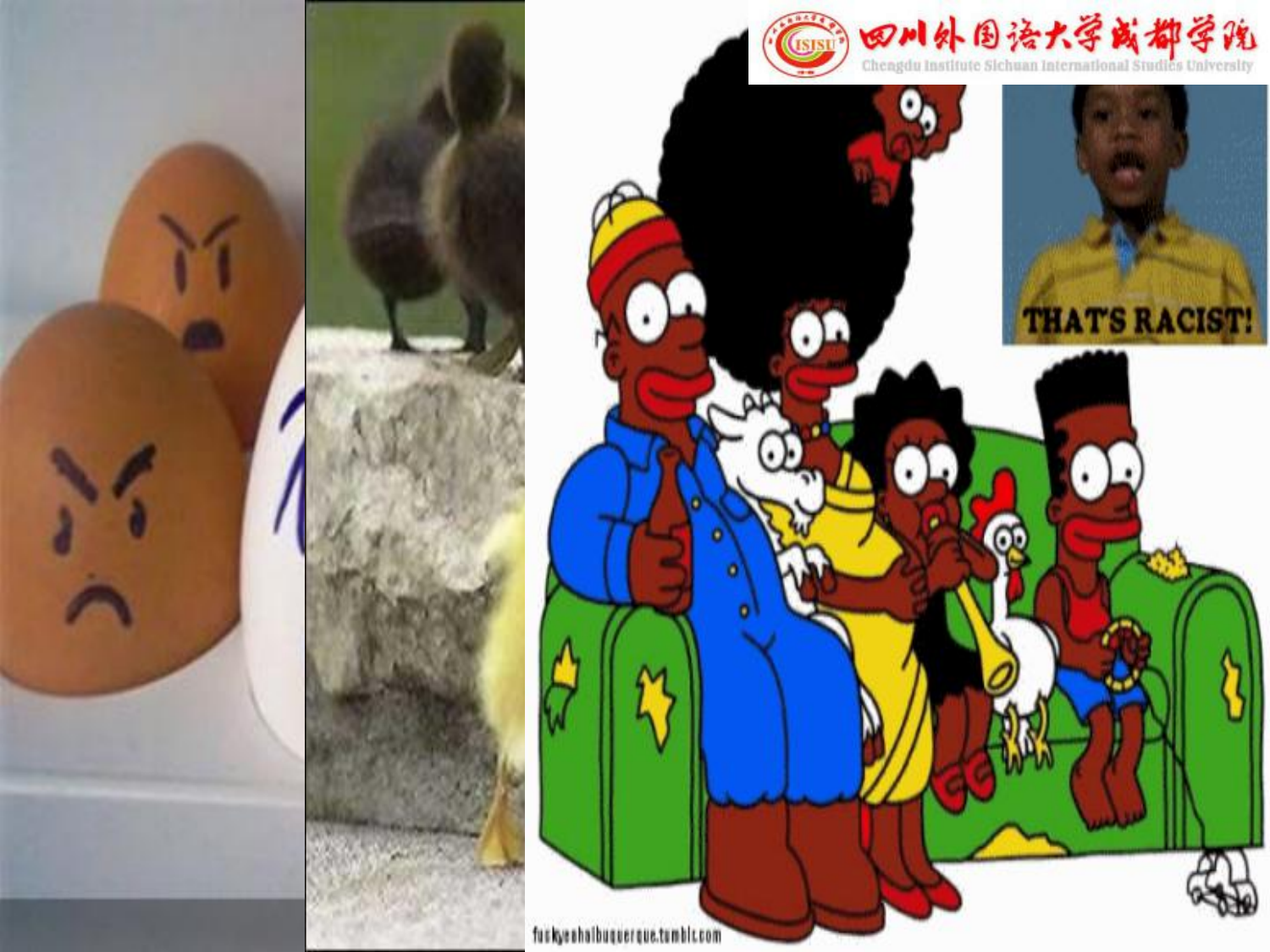

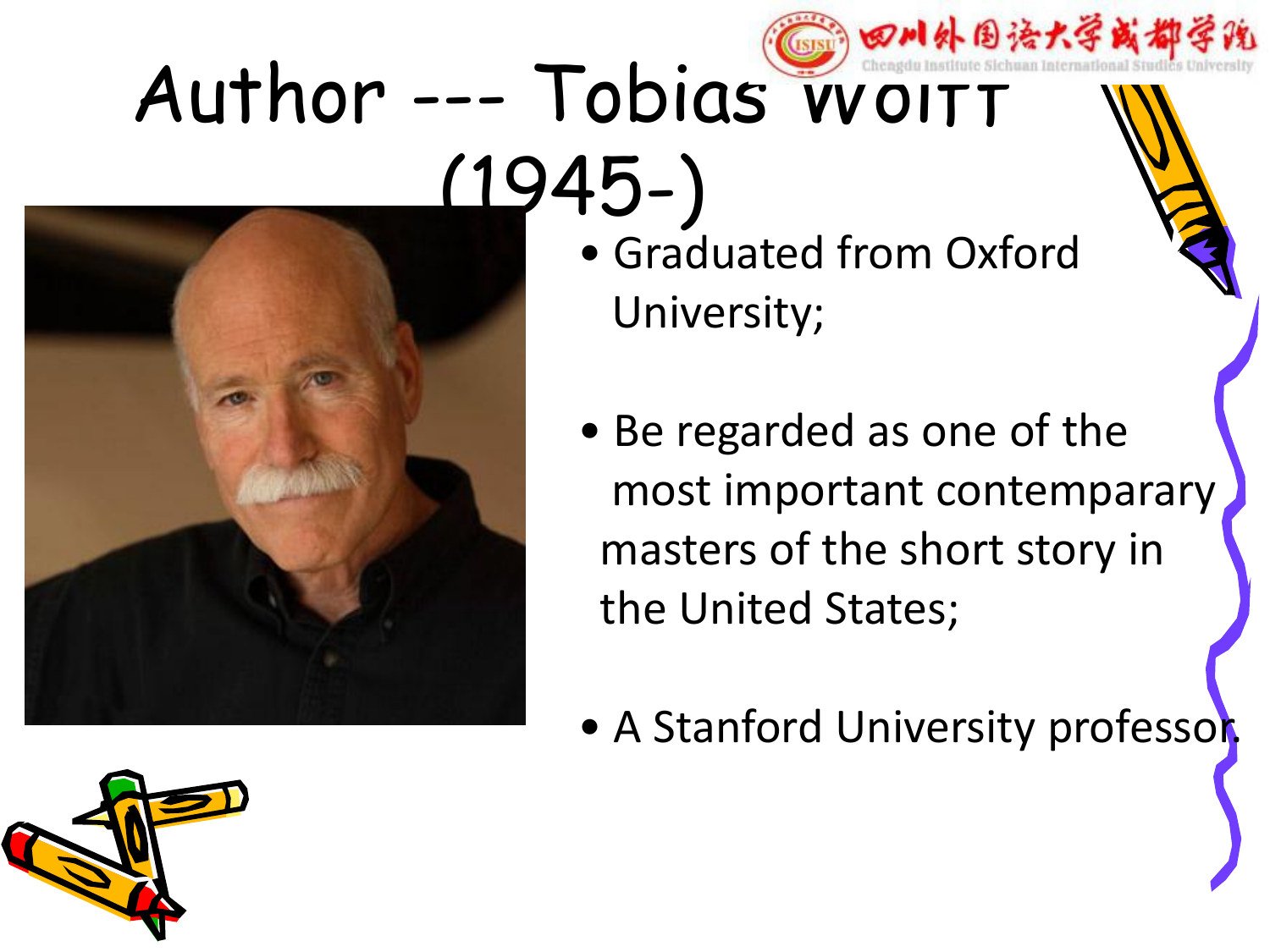### 四川外围语大学或 Author --- Tobias Wolff (1945-)



- Graduated from Oxford University;
- Be regarded as one of the most important contemparary masters of the short story in the United States;
- A Stanford University professor

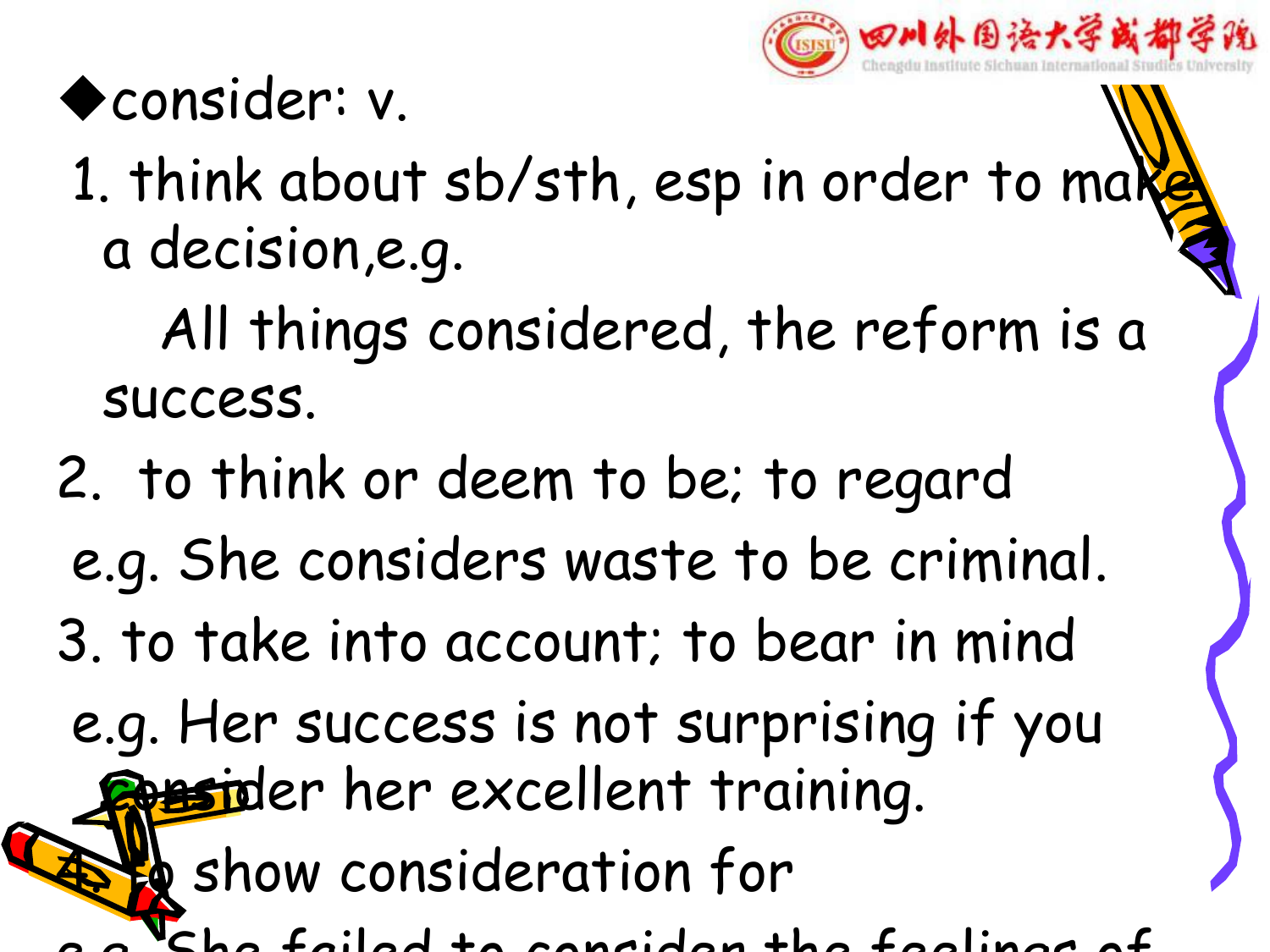

### Consider: v.

1. think about sb/sth, esp in order to mal a decision,e.g.

All things considered, the reform is a success.

2. to think or deem to be; to regard e.g. She considers waste to be criminal. 3. to take into account; to bear in mind e.g. Her success is not surprising if you **Quinting** Paramer excellent training. **A** show consideration for

e.g. She failed to consider the feelings of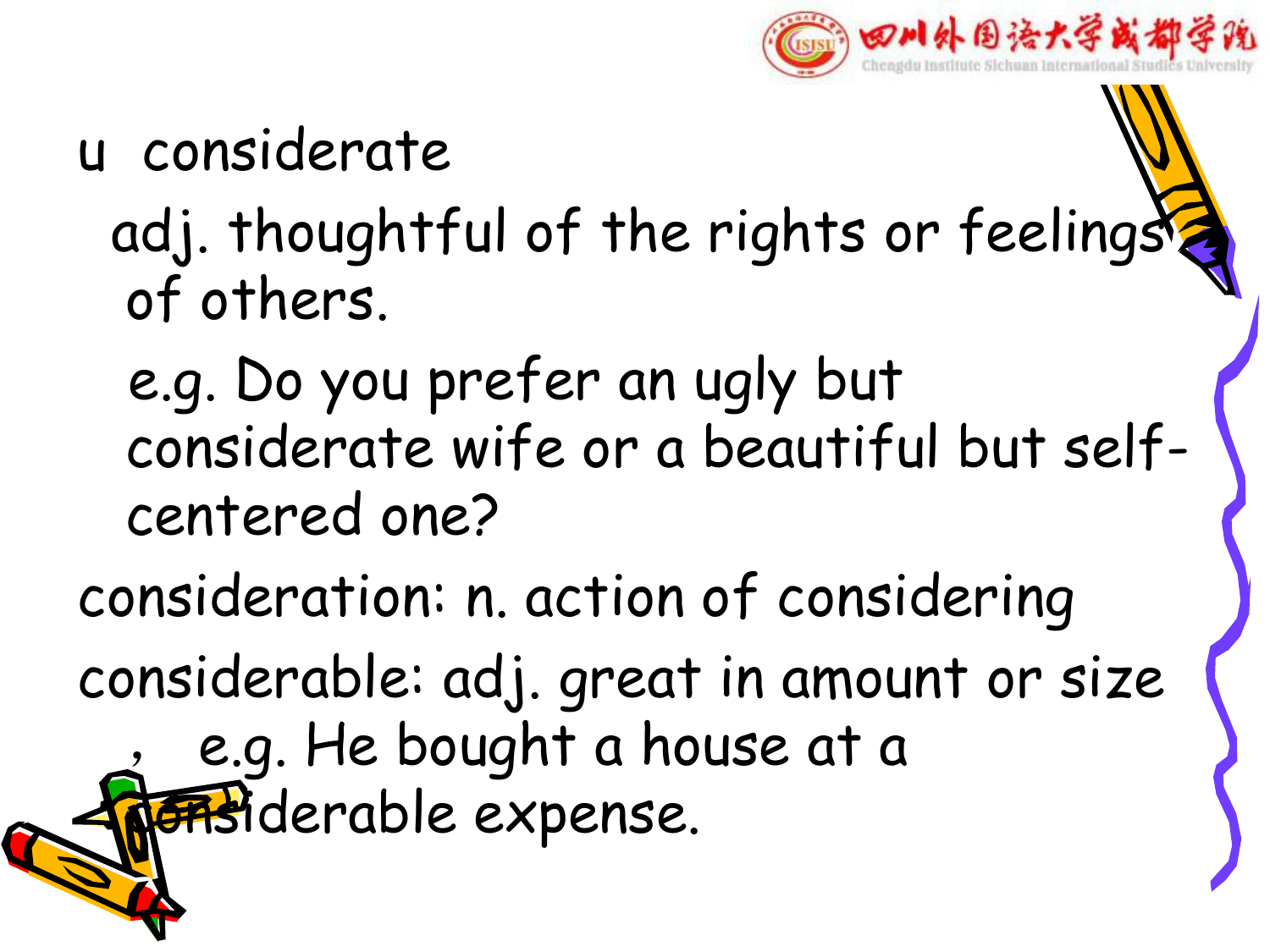

- u considerate
	- adj. thoughtful of the rights or feelings of others.
		- e.g. Do you prefer an ugly but considerate wife or a beautiful but selfcentered one?
- consideration: n. action of considering
- considerable: adj. great in amount or size e.g. He bought a house at a
- **Jonsi**derable expense.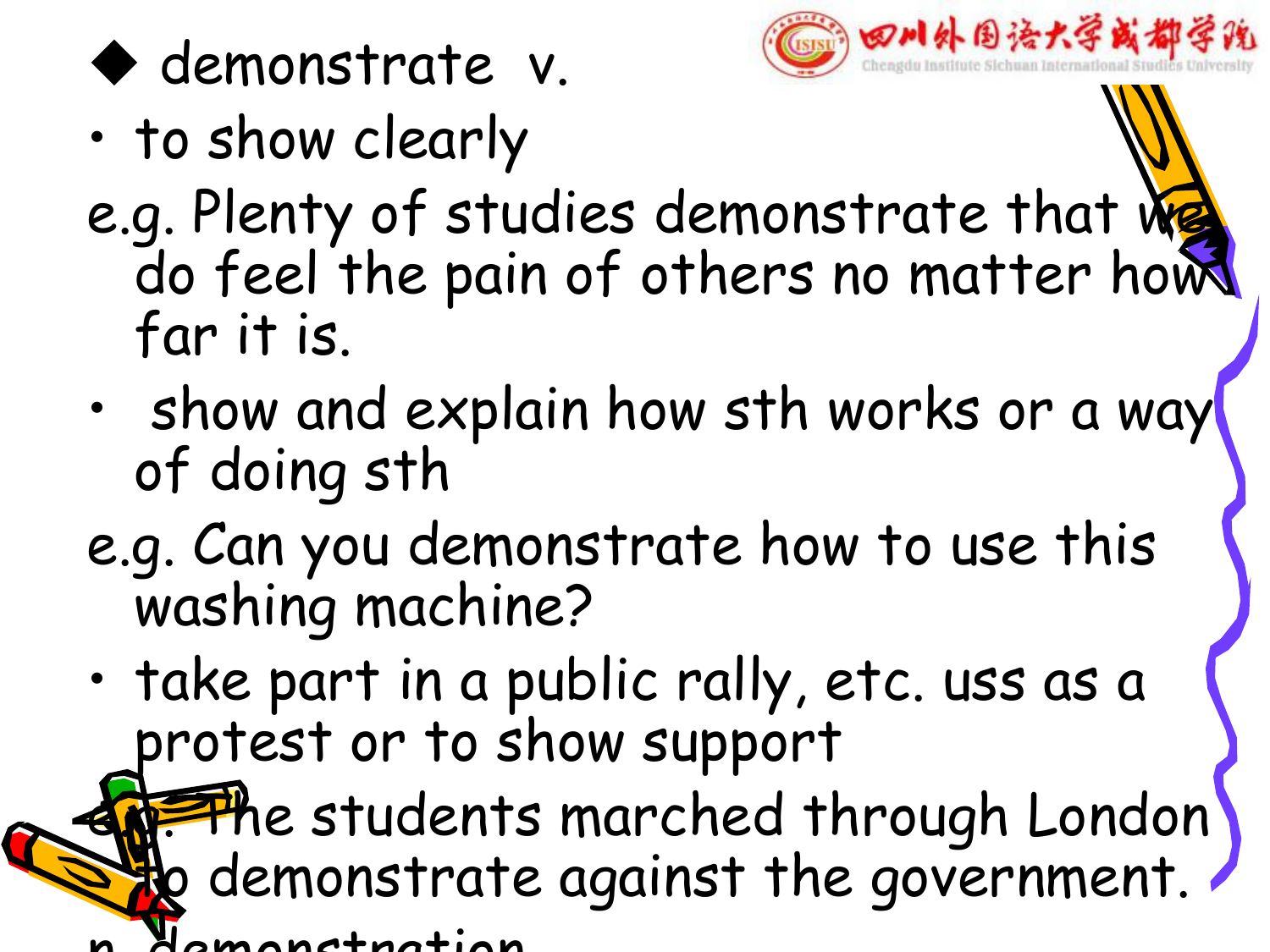



- to show clearly
- e.g. Plenty of studies demonstrate that We do feel the pain of others no matter how far it is.
- show and explain how sth works or a way of doing sth
- e.g. Can you demonstrate how to use this washing machine?
- take part in a public rally, etc. uss as a protest or to show support

the students marched through London demonstrate against the government. n. demonstration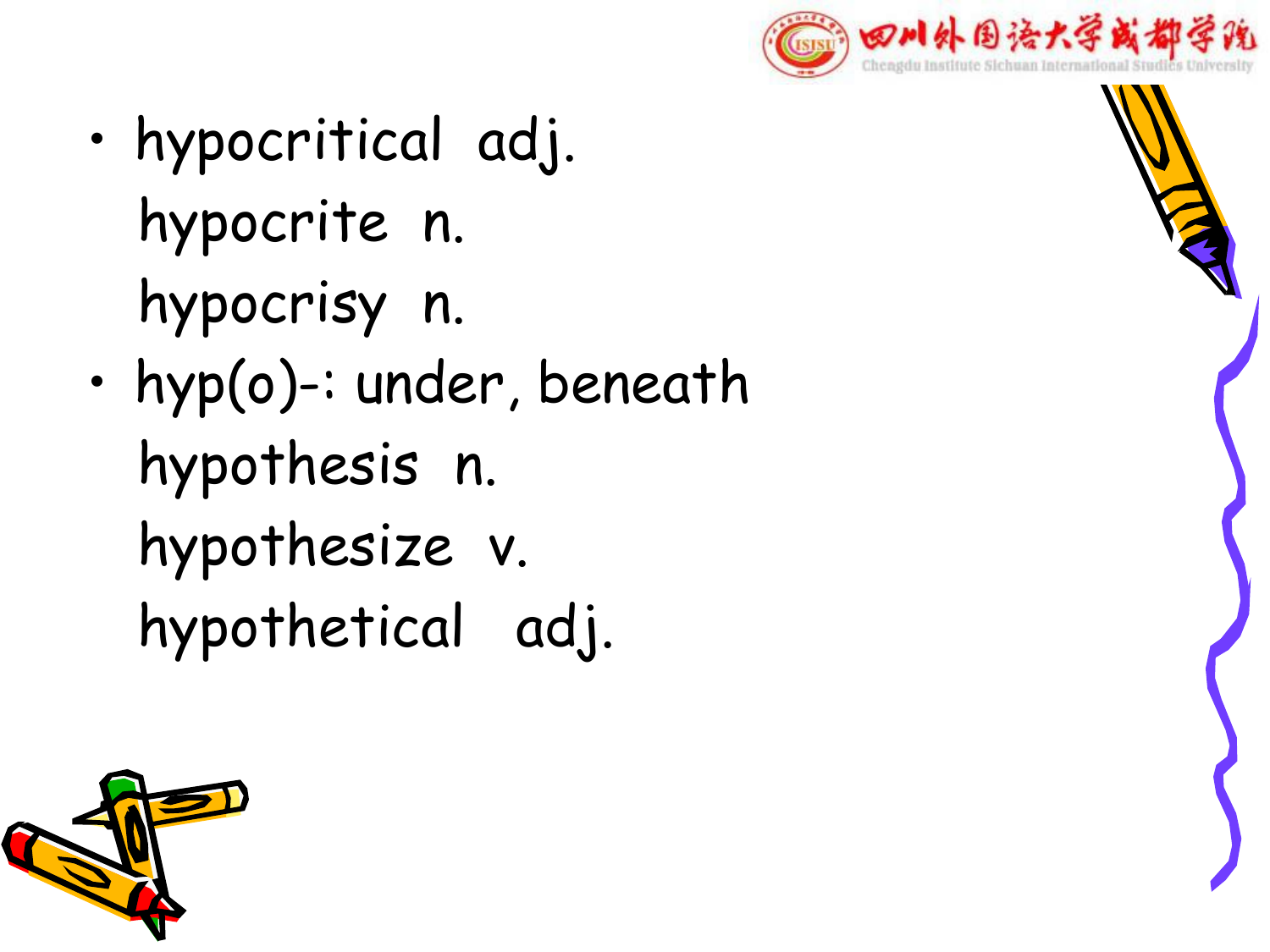

- hypocritical adj. hypocrite n. hypocrisy n.
- hyp(o)-: under, beneath hypothesis n. hypothesize v. hypothetical adj.

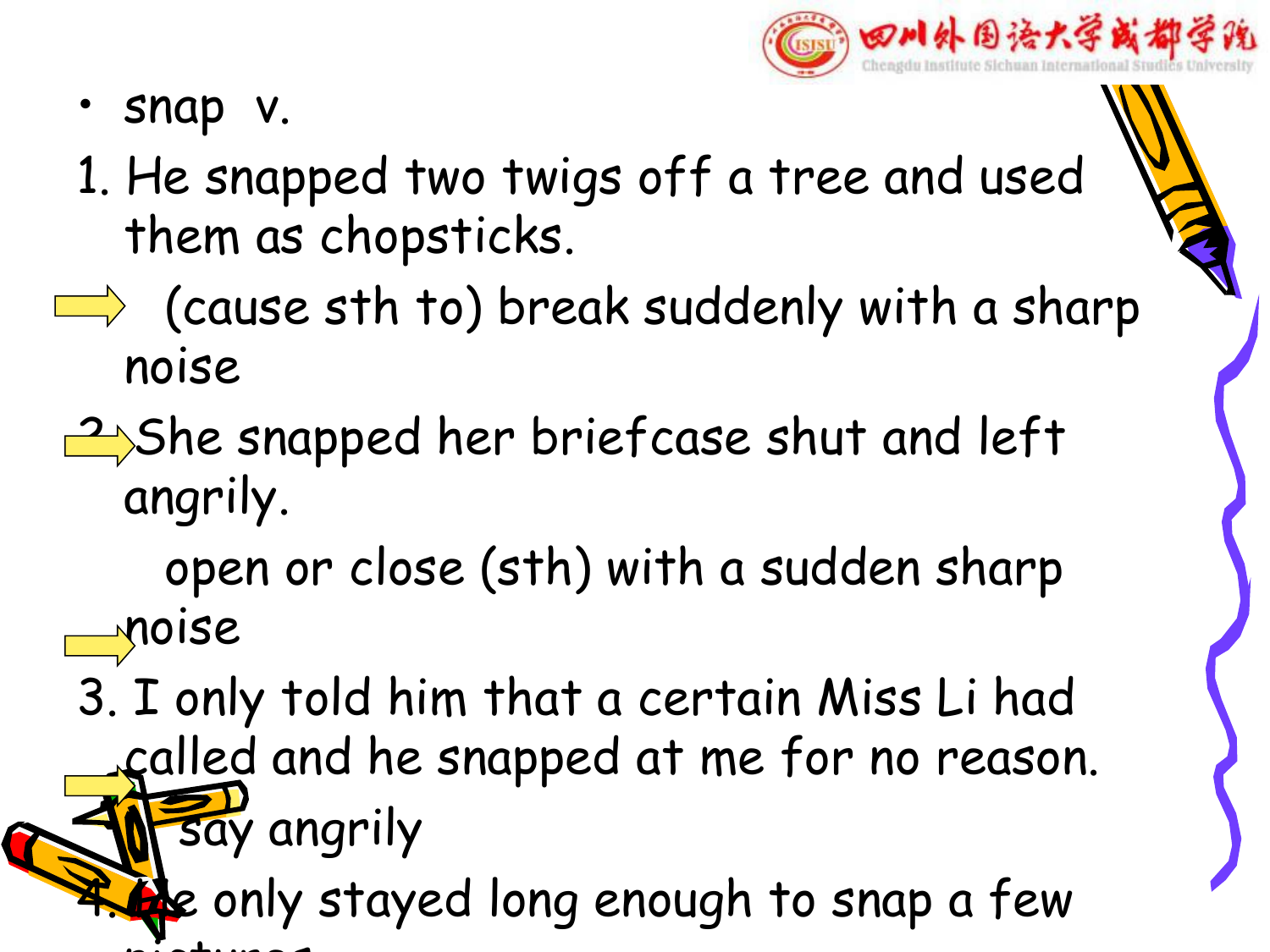

- snap v.
- 1. He snapped two twigs off a tree and used them as chopsticks.
- $\implies$  (cause sth to) break suddenly with a sharp noise
	- 2. She snapped her briefcase shut and left angrily.

open or close (sth) with a sudden sharp noise

3. I only told him that a certain Miss Li had called and he snapped at me for no reason. say angrily  $\mathbf{R}$  only stayed long enough to snap a few

 $p_1, p_2, p_3, p_4$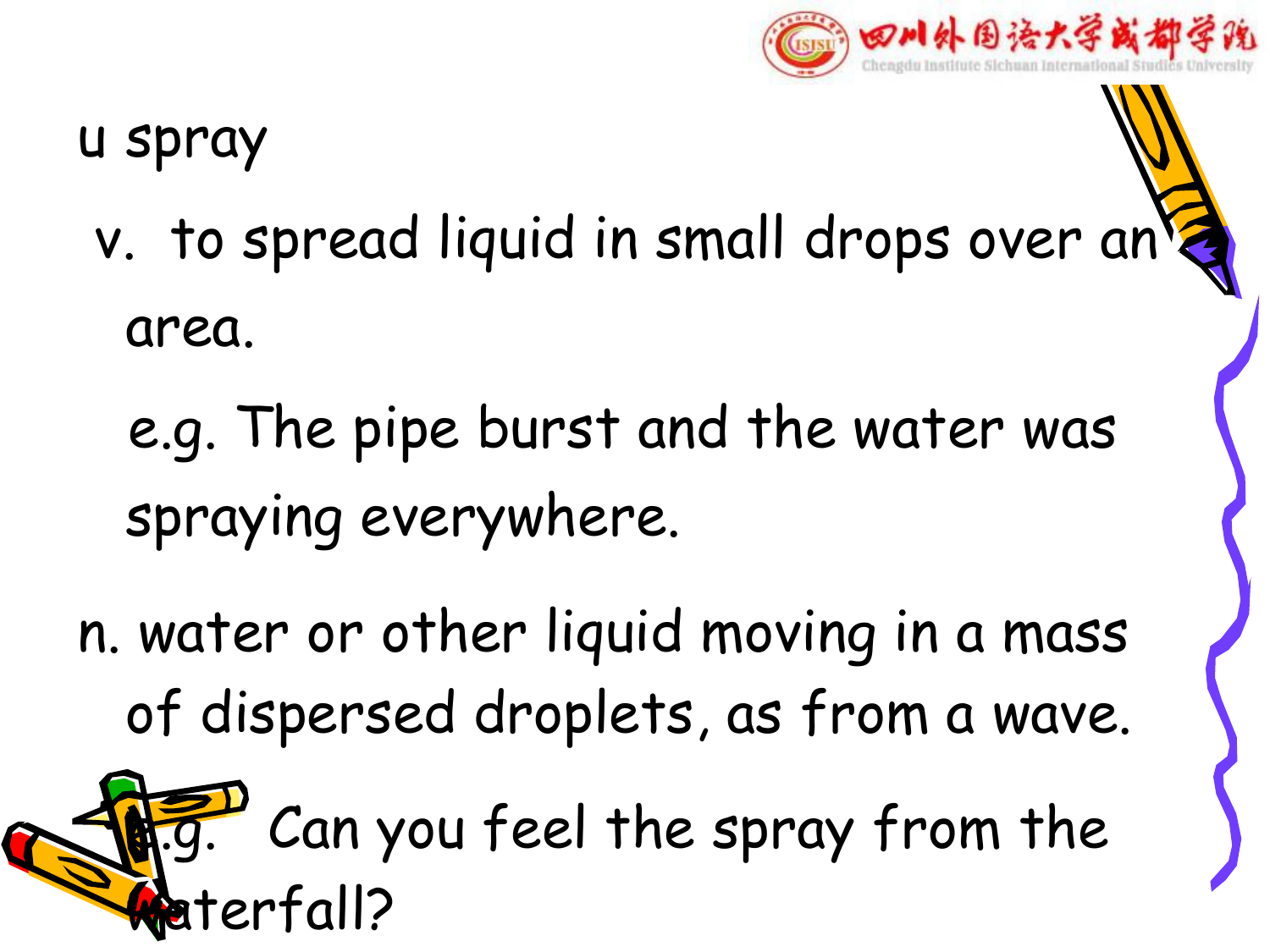

v. to spread liquid in small drops over an area.

u spray

- e.g. The pipe burst and the water was spraying everywhere.
- n. water or other liquid moving in a mass of dispersed droplets, as from a wave.
- Can you feel the spray from the **Paterfall?**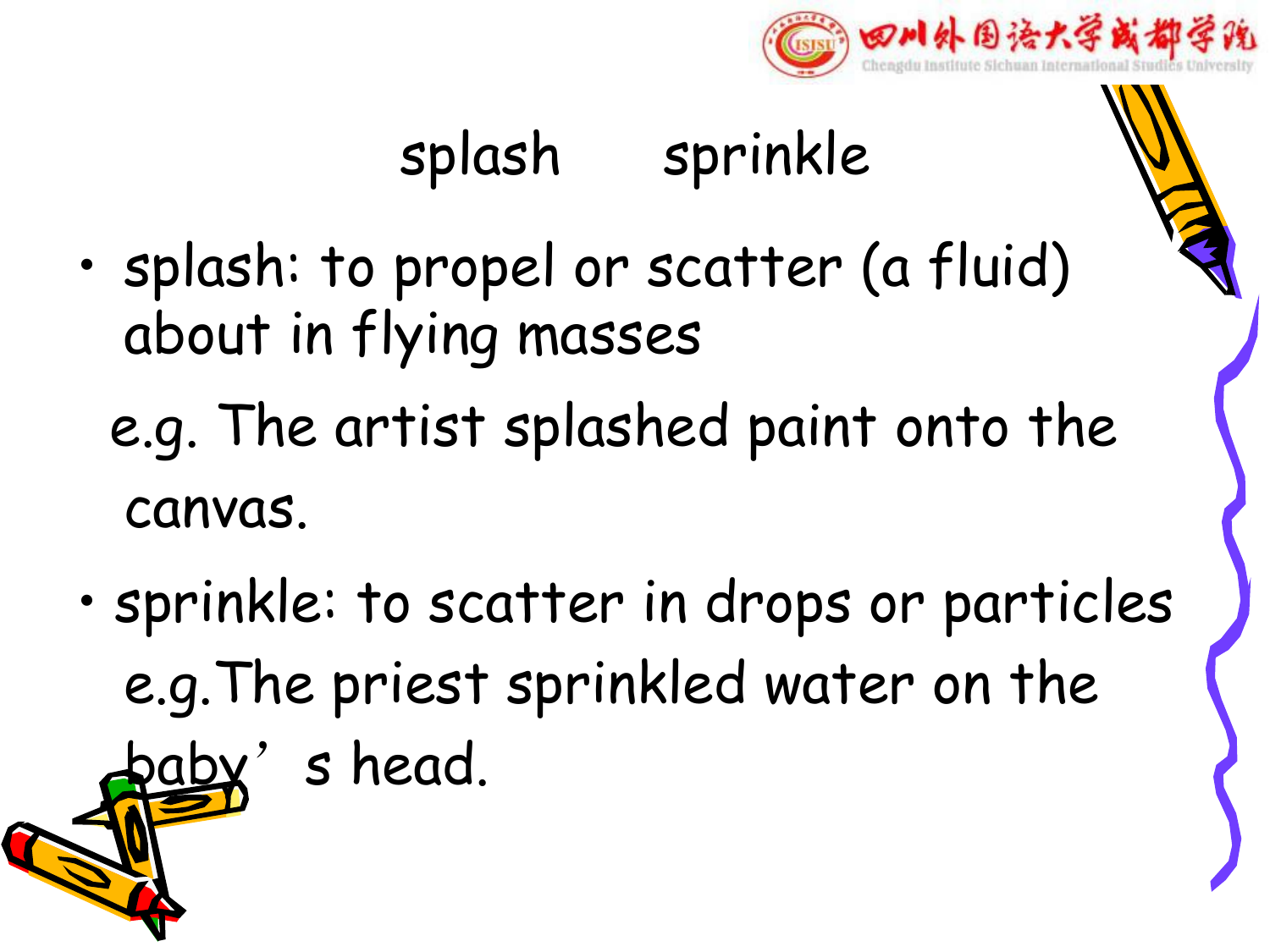

## splash sprinkle

- splash: to propel or scatter (a fluid) about in flying masses
	- e.g. The artist splashed paint onto the canvas.
- sprinkle: to scatter in drops or particles e.g.The priest sprinkled water on the aby's head.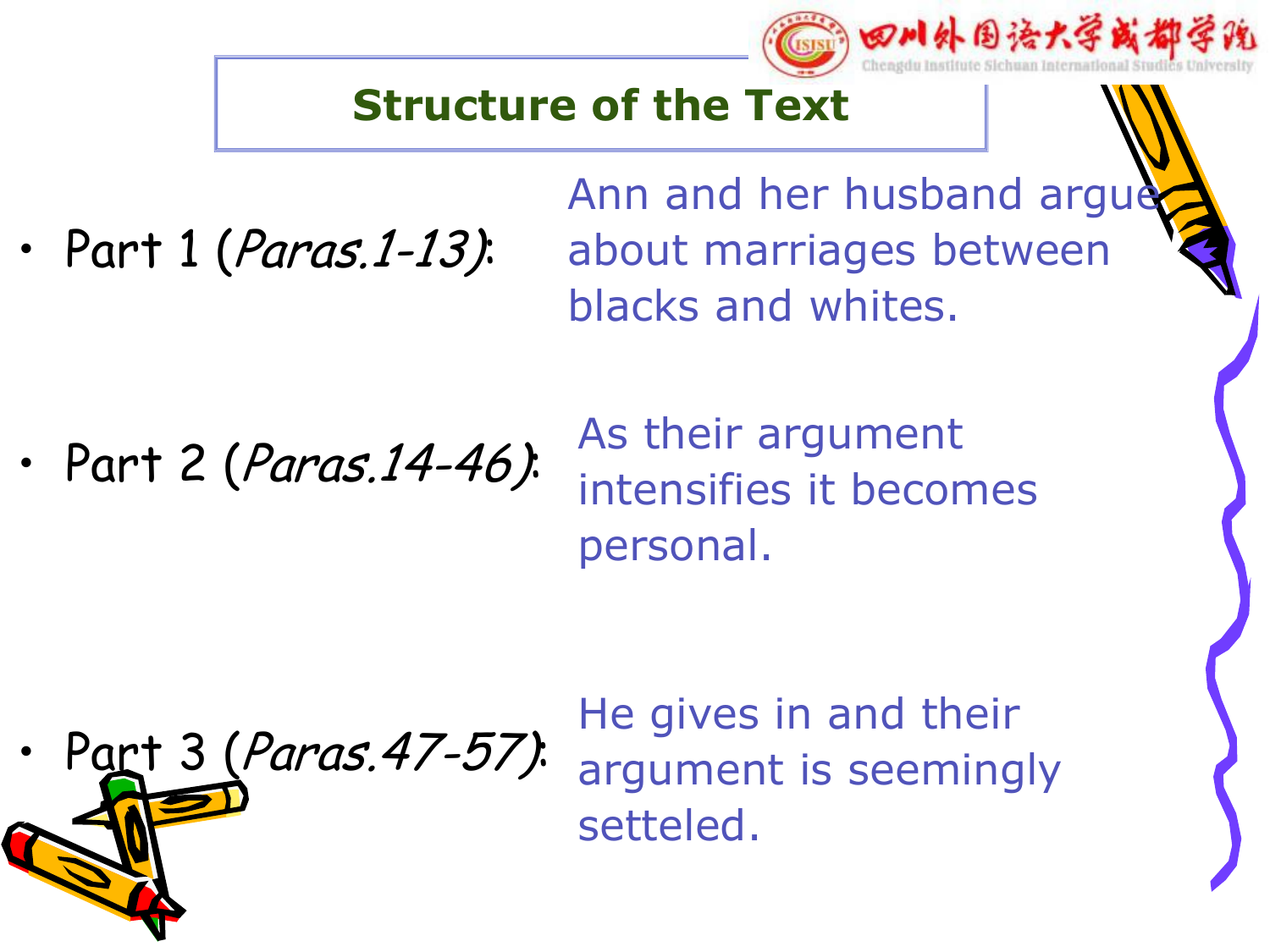

#### **Structure of the Text**

• Part 1 (*Paras.1-13*):

Ann and her husband argue about marriages between blacks and whites.

• Part 2 (*Paras.14-46)*:

As their argument intensifies it becomes personal.

Part 3 (Paras. 47-57):

He gives in and their argument is seemingly setteled.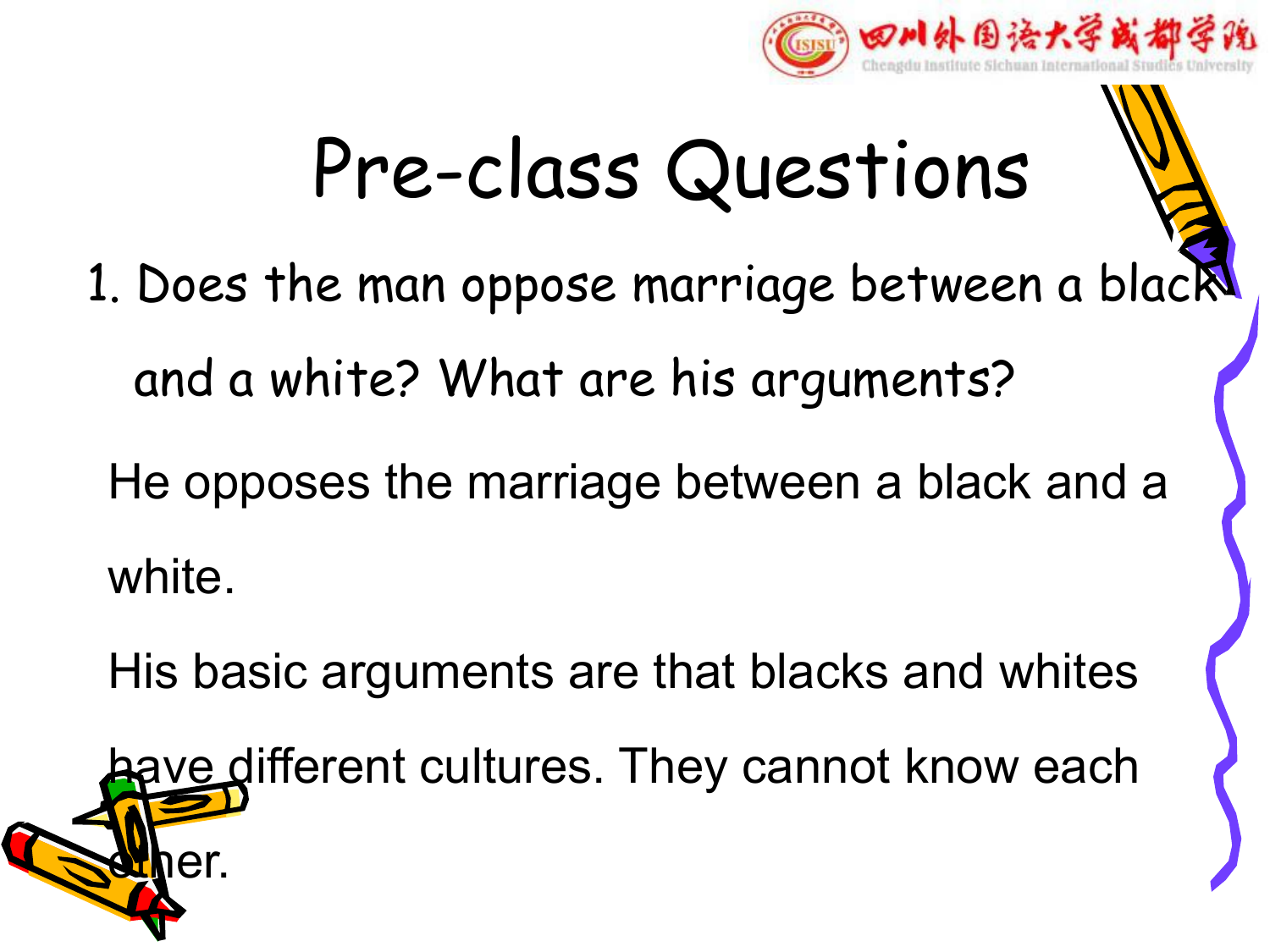

# Pre-class Questions

- 1. Does the man oppose marriage between a black and a white? What are his arguments?
	- He opposes the marriage between a black and a white.
	- His basic arguments are that blacks and whites

ave different cultures. They cannot know each **other.**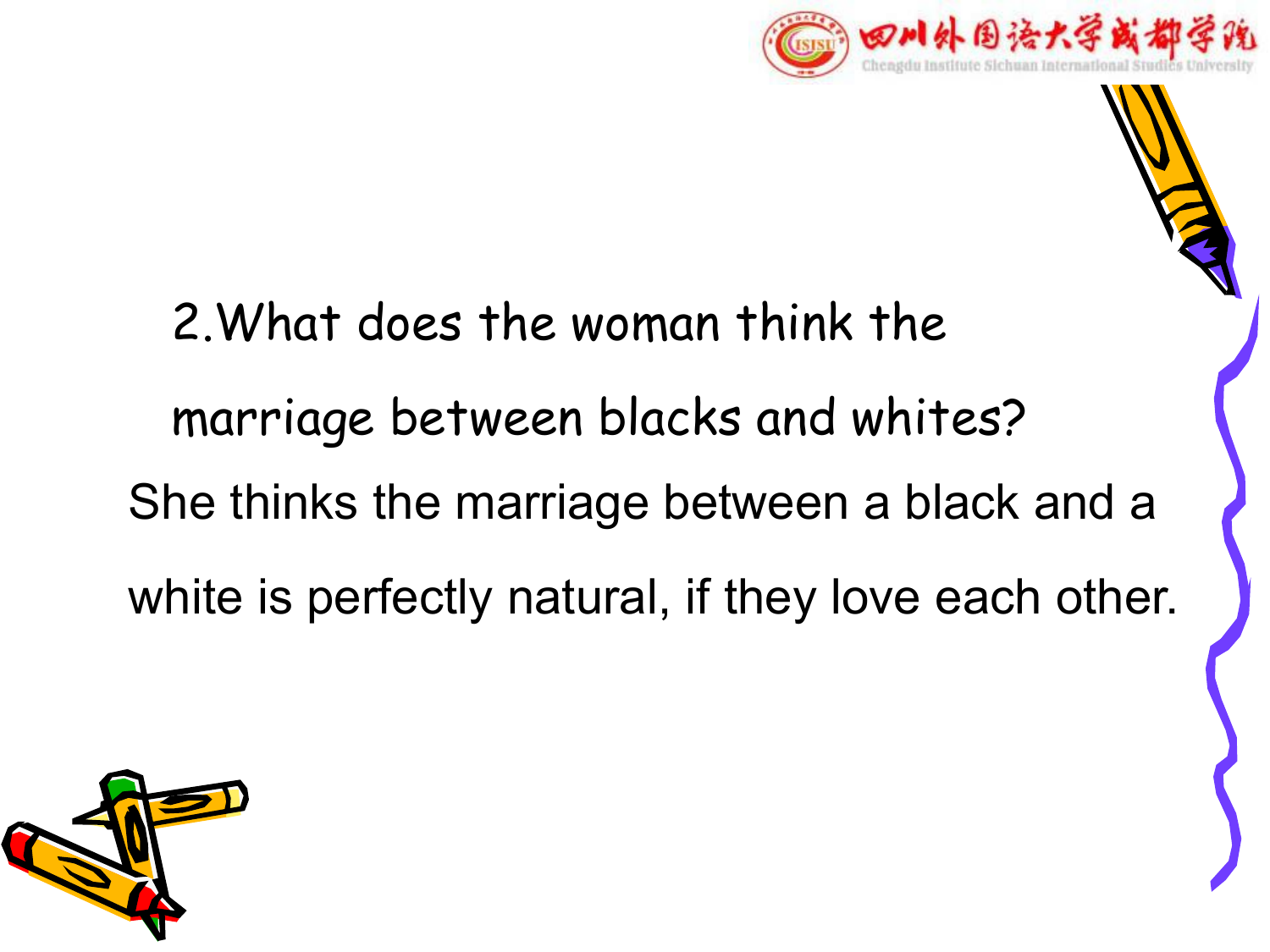

## 2.What does the woman think the marriage between blacks and whites? She thinks the marriage between a black and a white is perfectly natural, if they love each other.

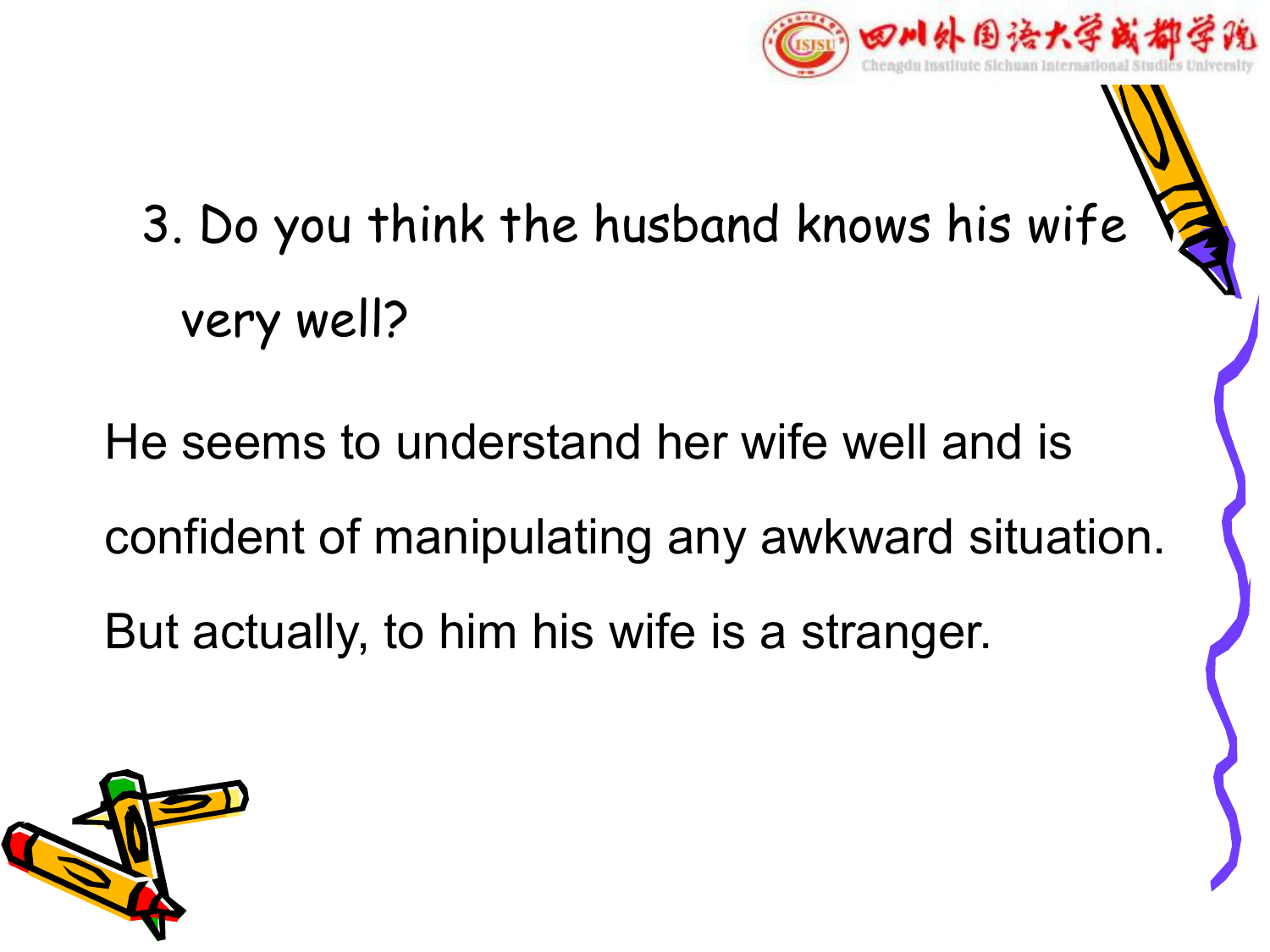

- 3. Do you think the husband knows his wife very well?
- He seems to understand her wife well and is confident of manipulating any awkward situation. But actually, to him his wife is a stranger.

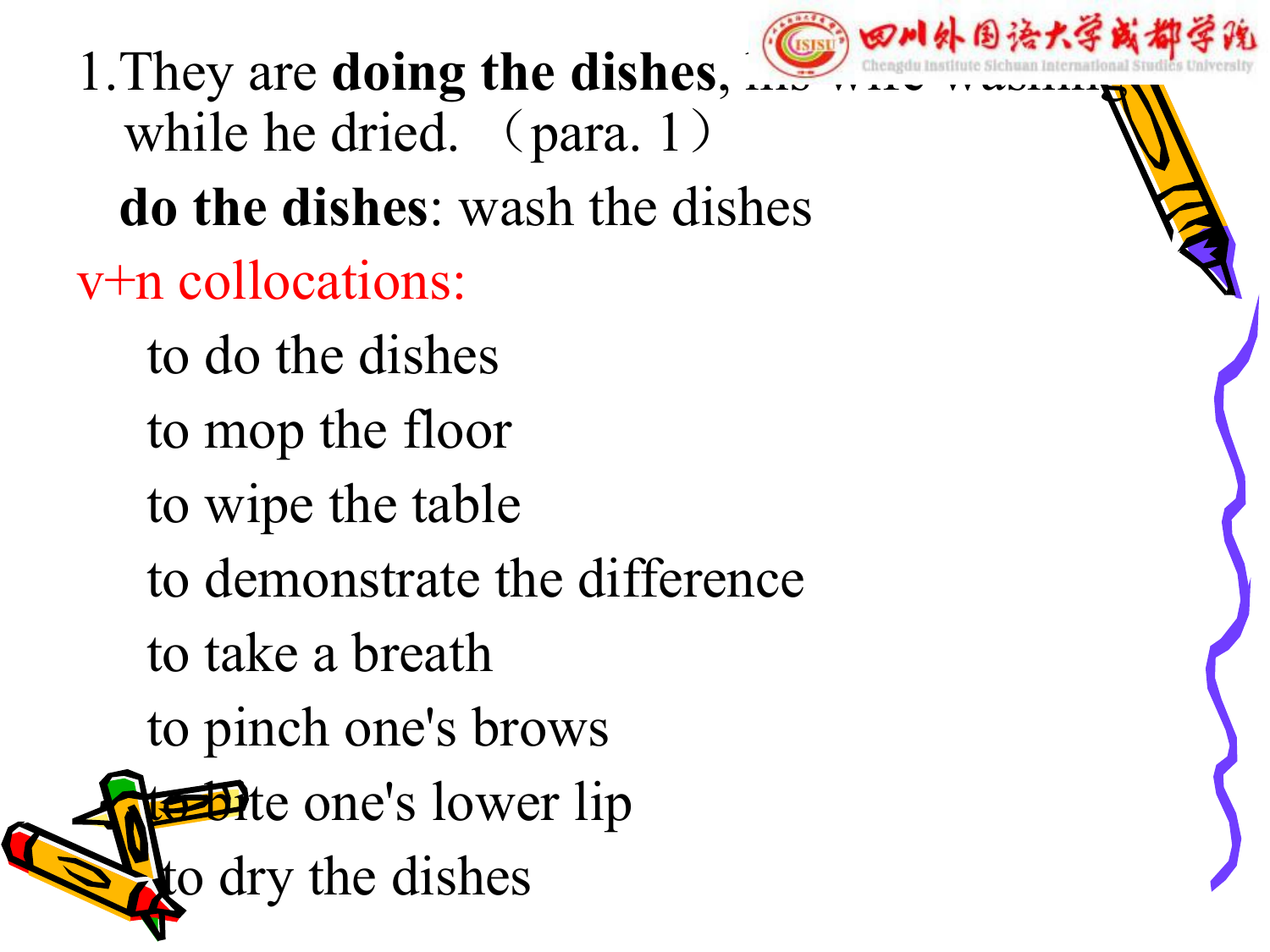1. They are **doing the dishes**, while he dried. (para. 1) **do** the dishes: wash the dishes v+n collocations: to do the dishes to mop the floor to wipe the table to demonstrate the difference to take a breath to pinch one's brows **to but the one's lower lip** to dry the dishes

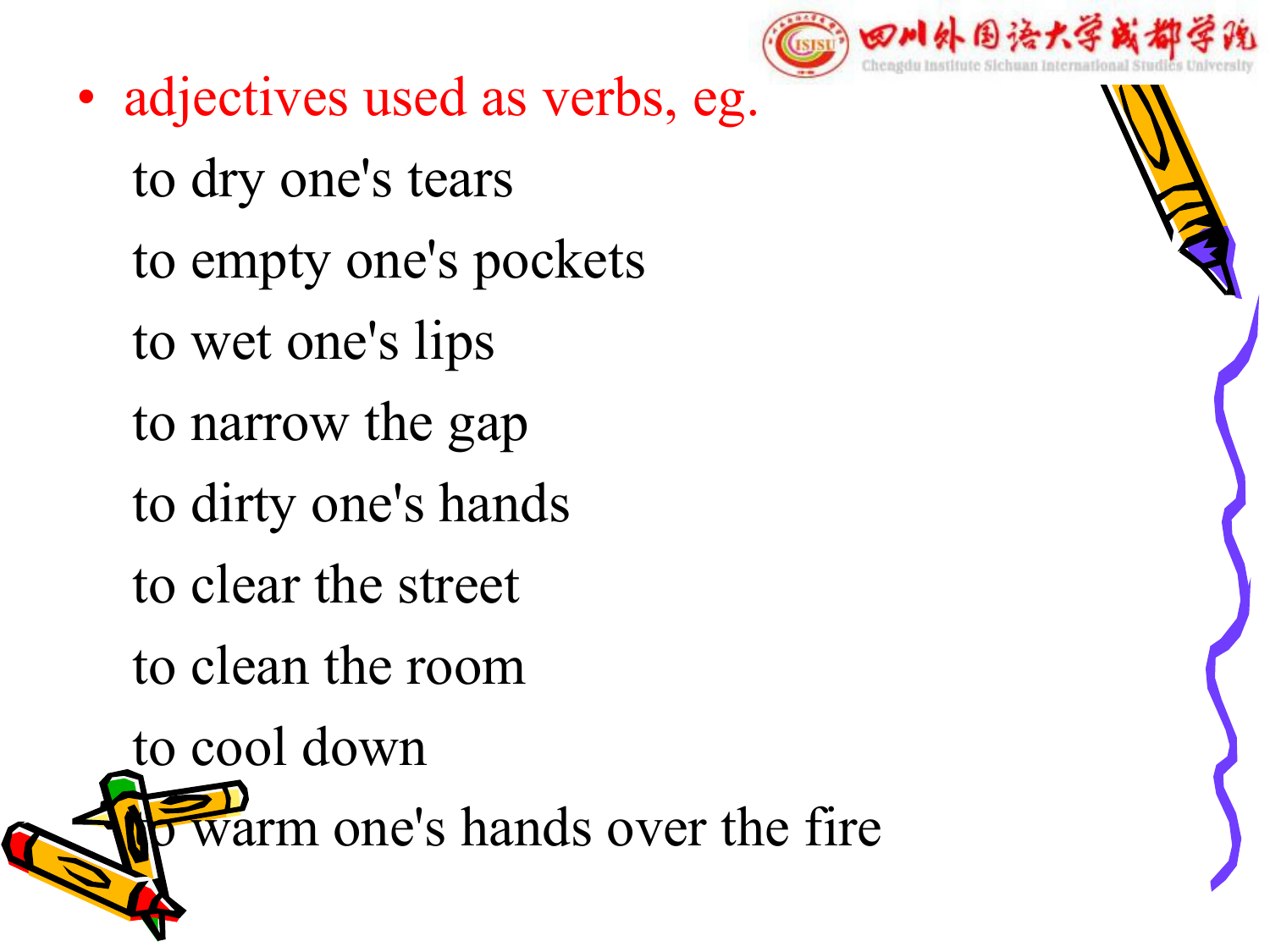

• adjectives used as verbs, eg.

to dry one's tears to empty one's pockets to wet one's lips to narrow the gap to dirty one's hands to clear the street to clean the room to cool down warm one's hands over the fire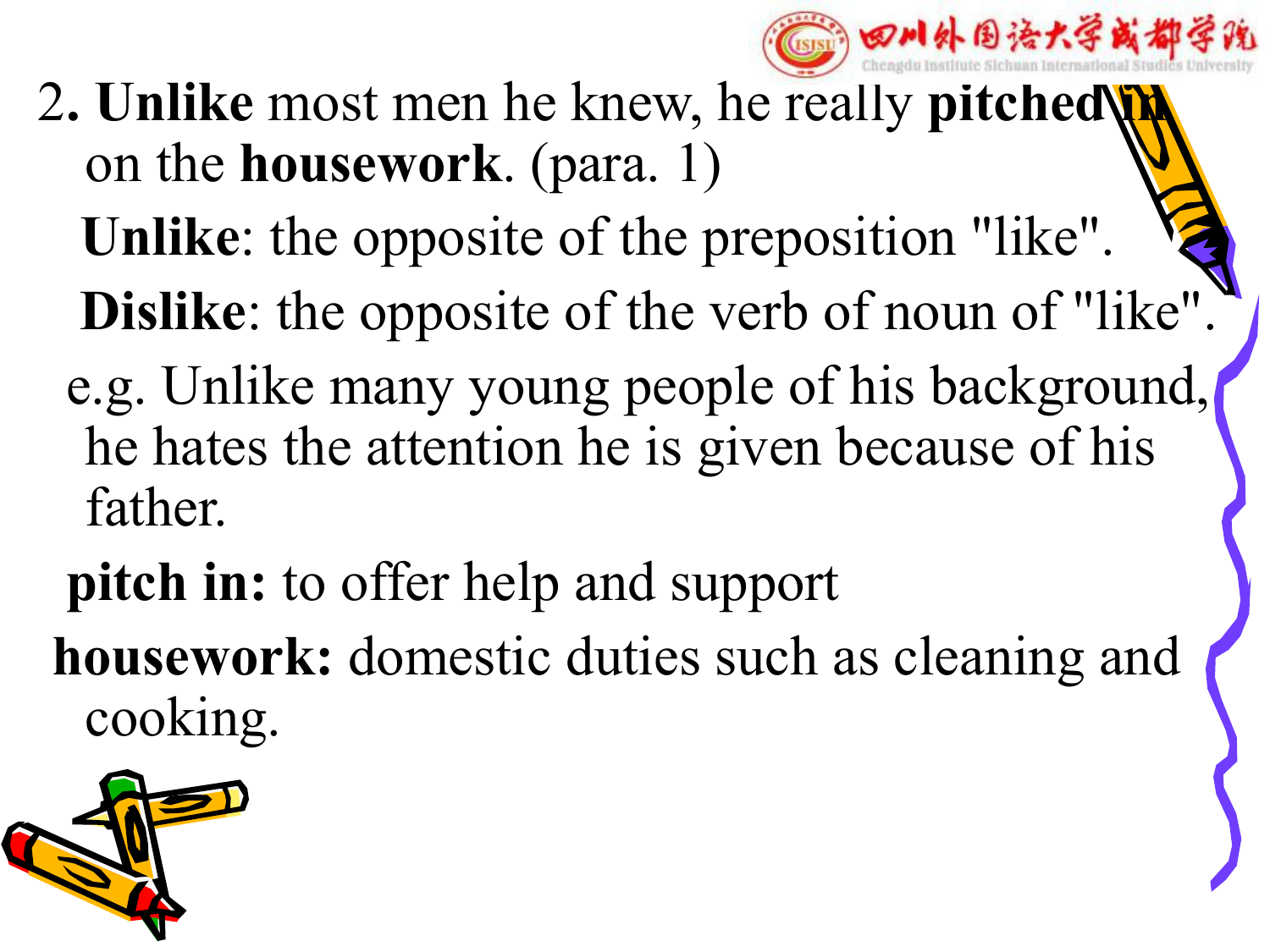

- 2. **Unlike** most men he knew, he really **pitched** on the **housework**. (para. 1)
	- **Unlike**: the opposite of the preposition "like".
	- **Dislike**: the opposite of the verb of noun of "like".
	- e.g. Unlike many young people of his background, he hates the attention he is given because of his father.
	- **pitch in:** to offer help and support
	- **housework:** domestic duties such as cleaning and cooking.

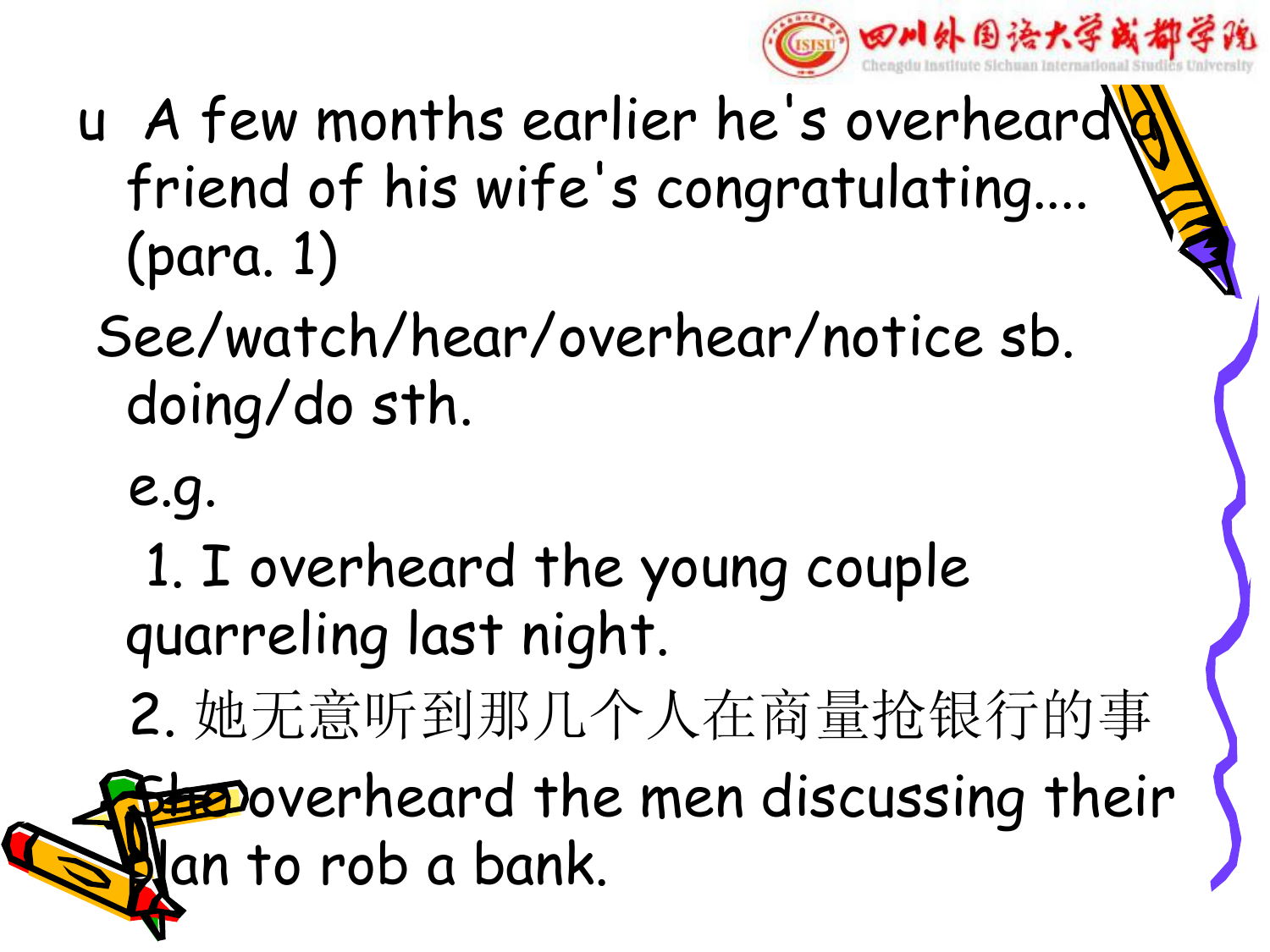

- $u$  A few months earlier he's overheard  $\mathcal{U}$ friend of his wife's congratulating.... (para. 1)
- See/watch/hear/overhear/notice sb. doing/do sth.

e.g.

- 1. I overheard the young couple quarreling last night.
- 2. 她无意听到那几个人在商量抢银行的事

Strowerheard the men discussing their plan to rob a bank.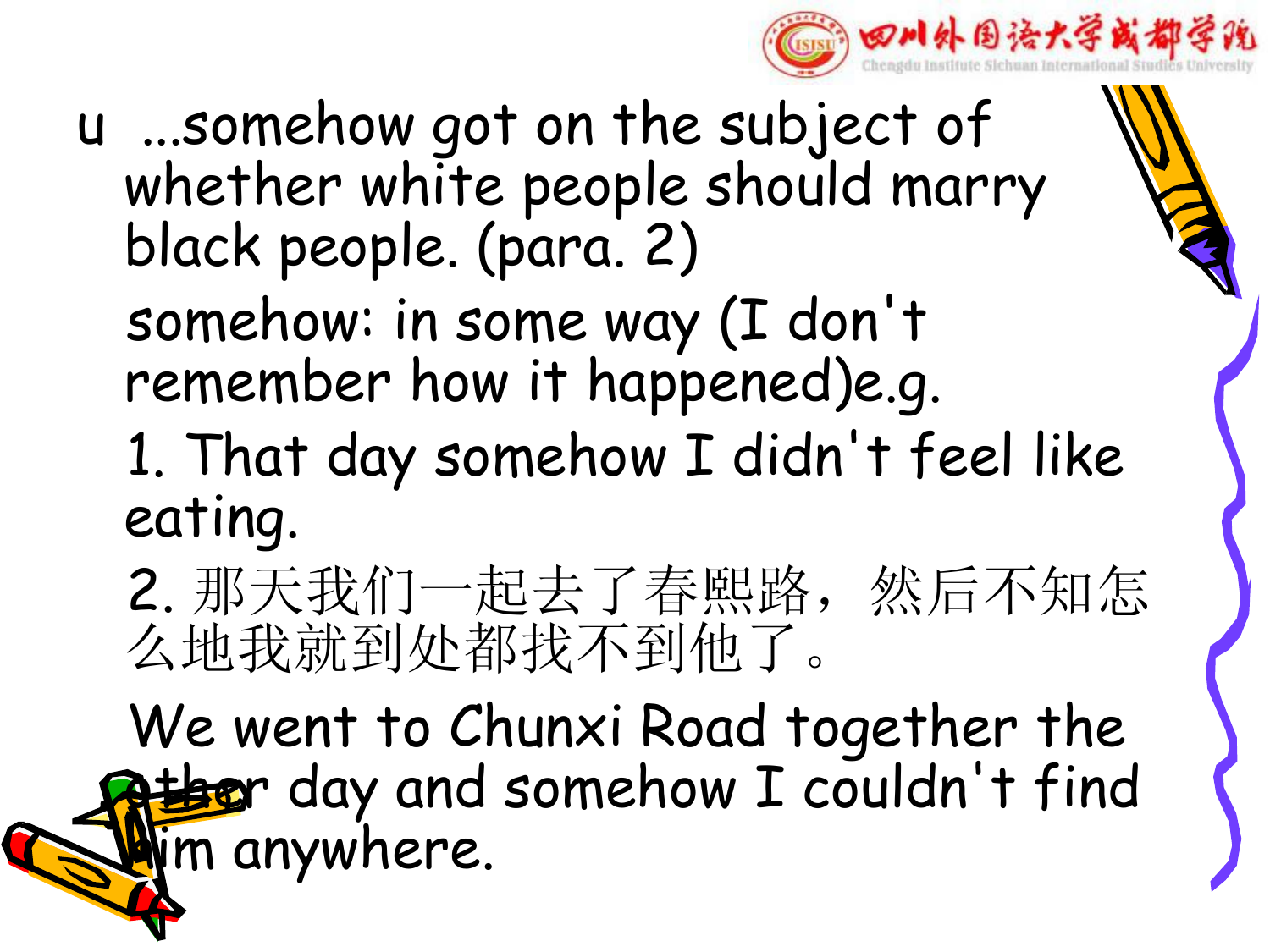

u ...somehow got on the subject of whether white people should marry black people. (para. 2)

somehow: in some way (I don 't remember how it happened)e.g.

- 1. That day somehow I didn 't feel like eating.
- 2. 那天我们一起去了春熙路, 然后不知怎 么地我就到处都找不到他了。

We went to Chunxi Road together the atter day and somehow I couldn't find im anywhere.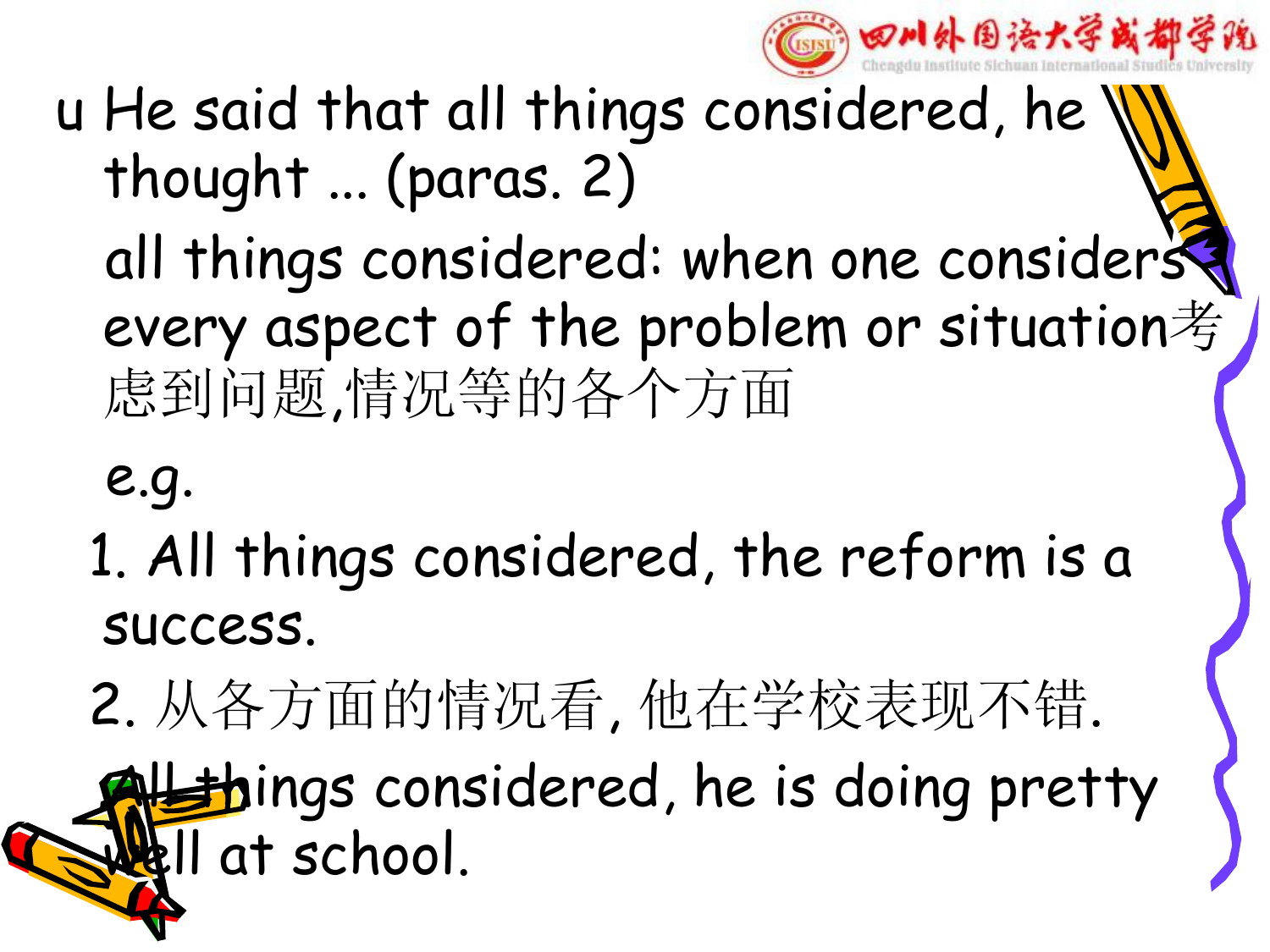

- u He said that all things considered, he thought ... (paras. 2)
	- all things considered: when one considers every aspect of the problem or situation考 虑到问题,情况等的各个方面
	- e.g.
	- 1. All things considered, the reform is a success.
	- 2. 从各方面的情况看, 他在学校表现不错.

 $\pm$  hings considered, he is doing pretty Il at school.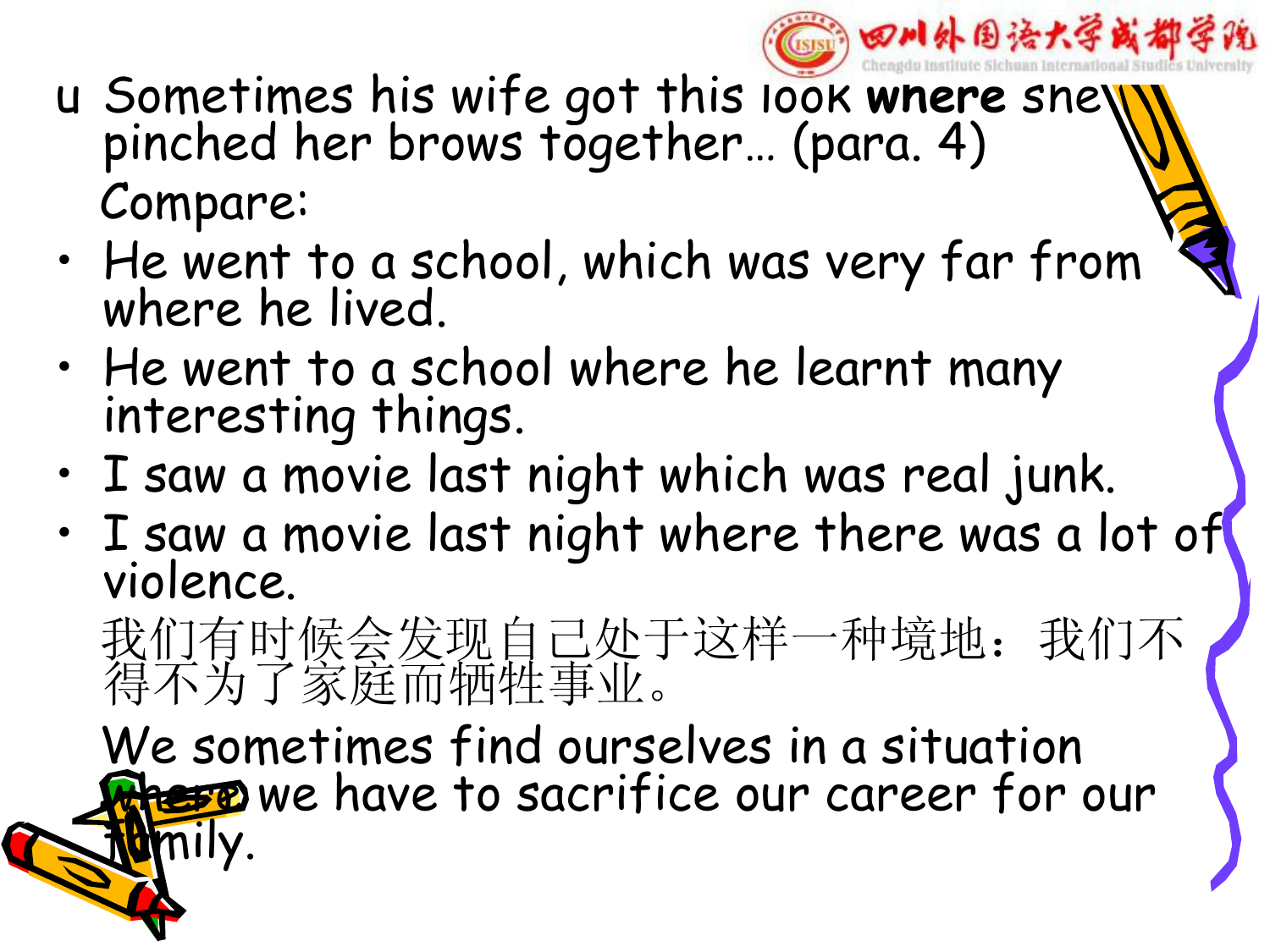

- u Sometimes his wife got this look **where** she pinched her brows together… (para. 4) \\\\ Compare:
- He went to a school, which was very far from where he lived.
- He went to a school where he learnt many interesting things.
- I saw a movie last night which was real junk.
- I saw a movie last night where there was a lot of violence.

我们有时候会发现自己处于这样一种境地: 我们不 得不为了家庭而牺牲事业。

We sometimes find ourselves in a situation here we have to sacrifice our career for our nily.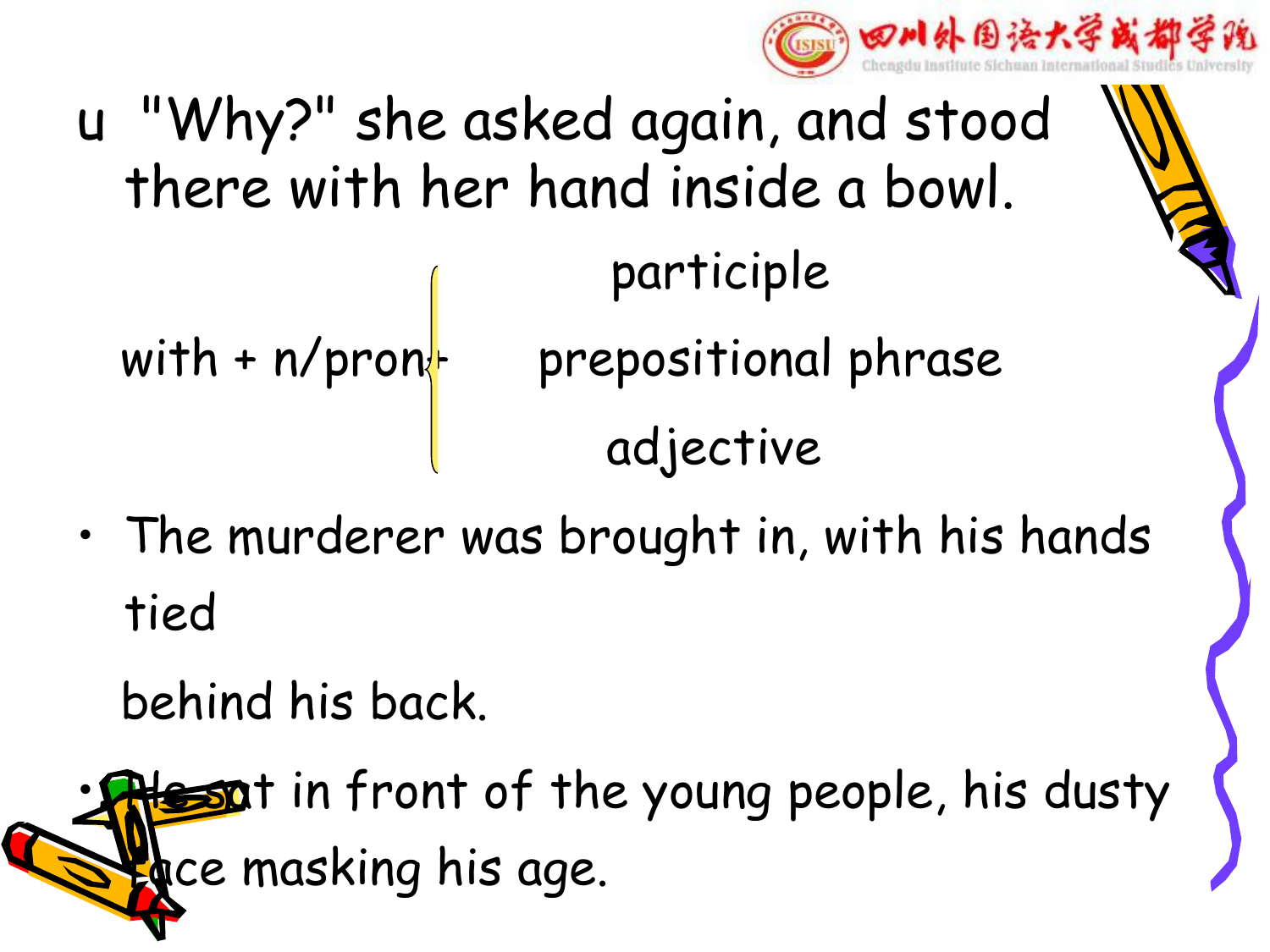

## u "Why?" she asked again, and stood there with her hand inside a bowl.participle with +  $n/$ pron $+$  prepositional phrase adjective

• The murderer was brought in, with his hands tied

behind his back.

**Exat in front of the young people, his dusty A**ce masking his age.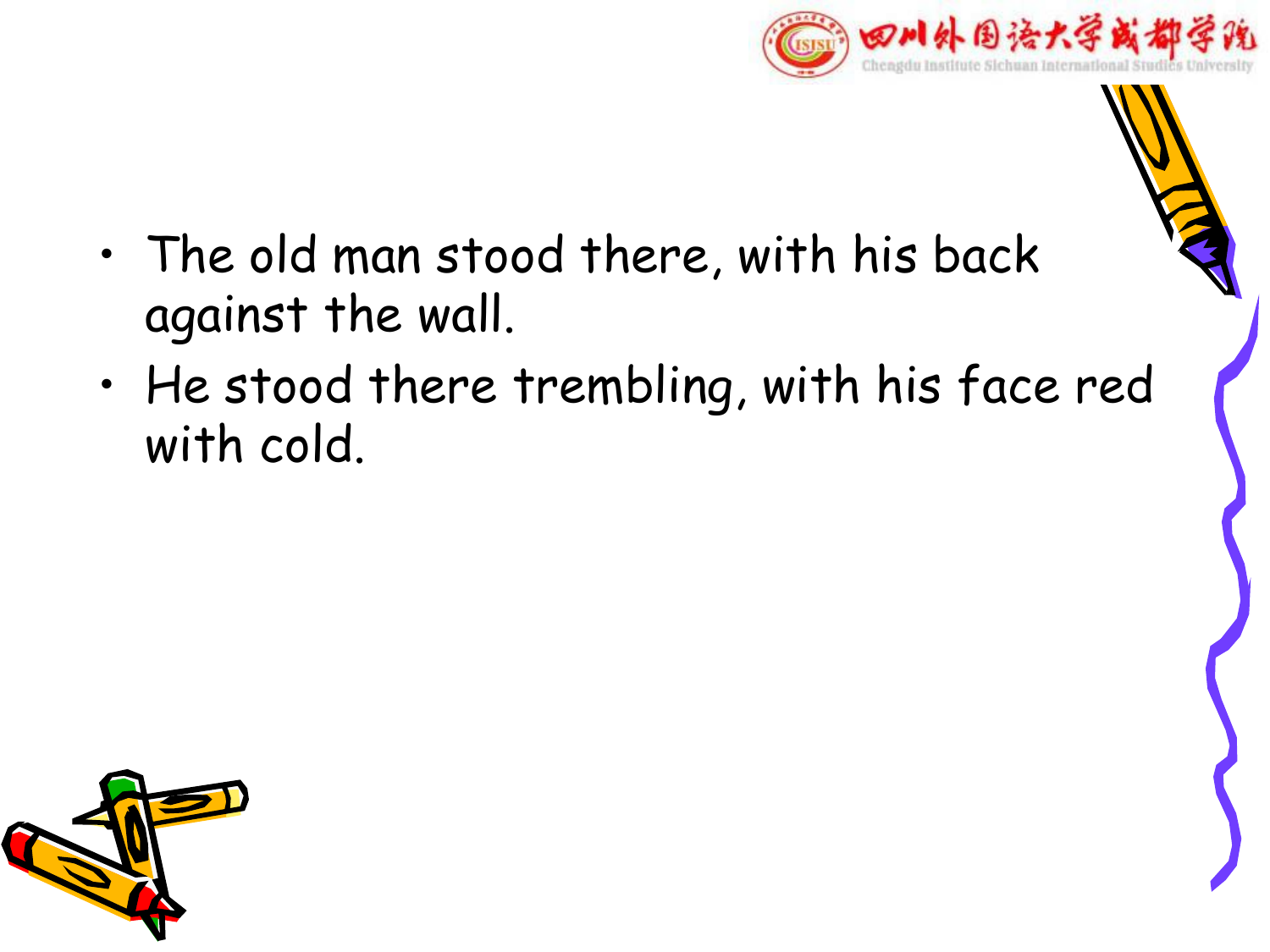

- The old man stood there, with his back
- against the wall.<br>• He stood there trembling, with his face red with cold.

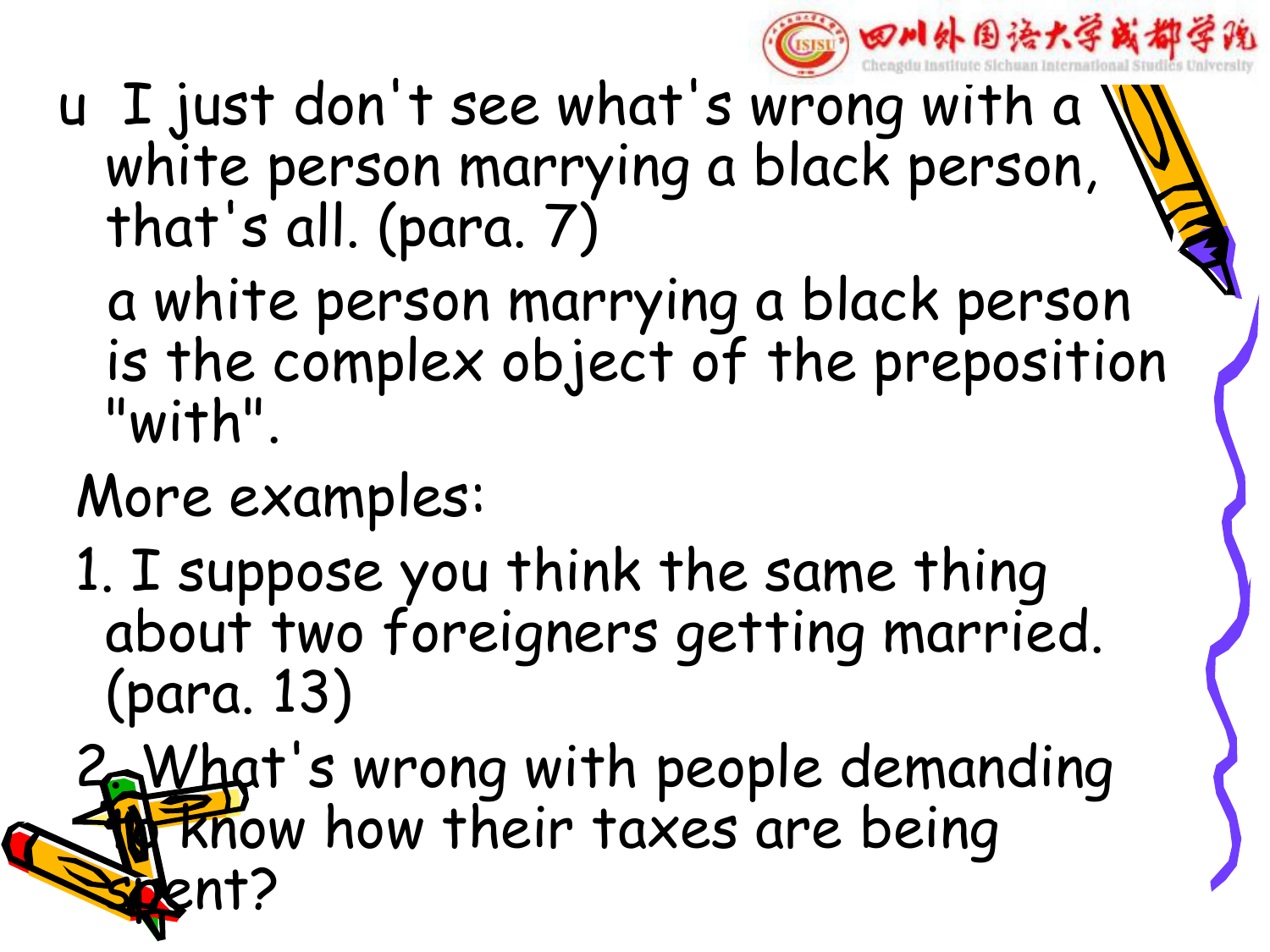

- u I just don't see what's wrong with a **\\\**\ white person marrying a black person, that's all. (para. 7)
	- a white person marrying a black person is the complex object of the preposition "with".

## More examples:

1. I suppose you think the same thing about two foreigners getting married. (para. 13)

2. What's wrong with people demanding **Thow how their taxes are being** Spent?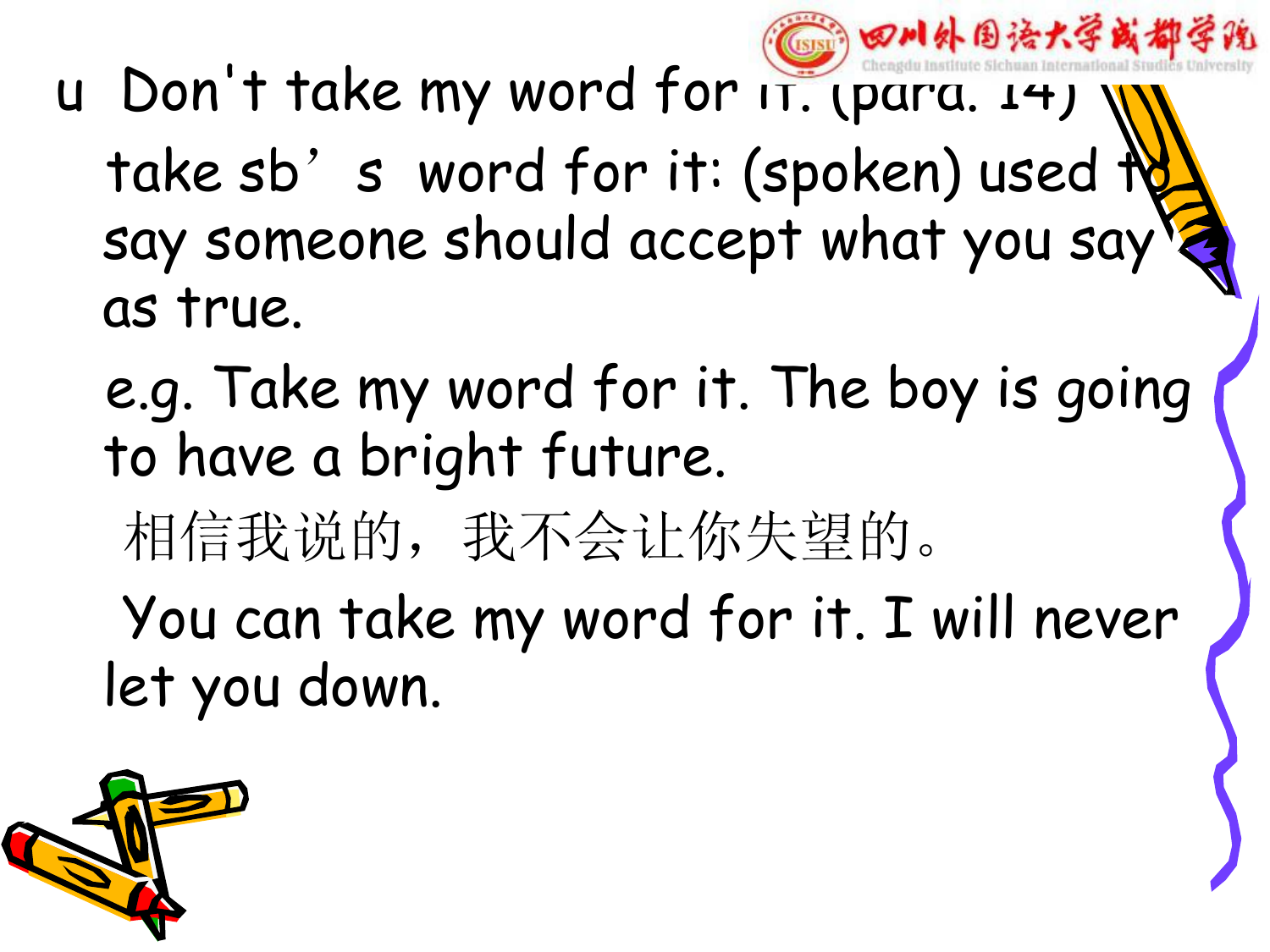

- u Don't take my word for it. (para. 14) JAN take sb's word for it: (spoken) used  $\mathcal{R}$ say someone should accept what you say as true.
	- e.g. Take my word for it. The boy is going to have a bright future.
		- 相信我说的,我不会让你失望的。
	- You can take my word for it. I will never let you down.

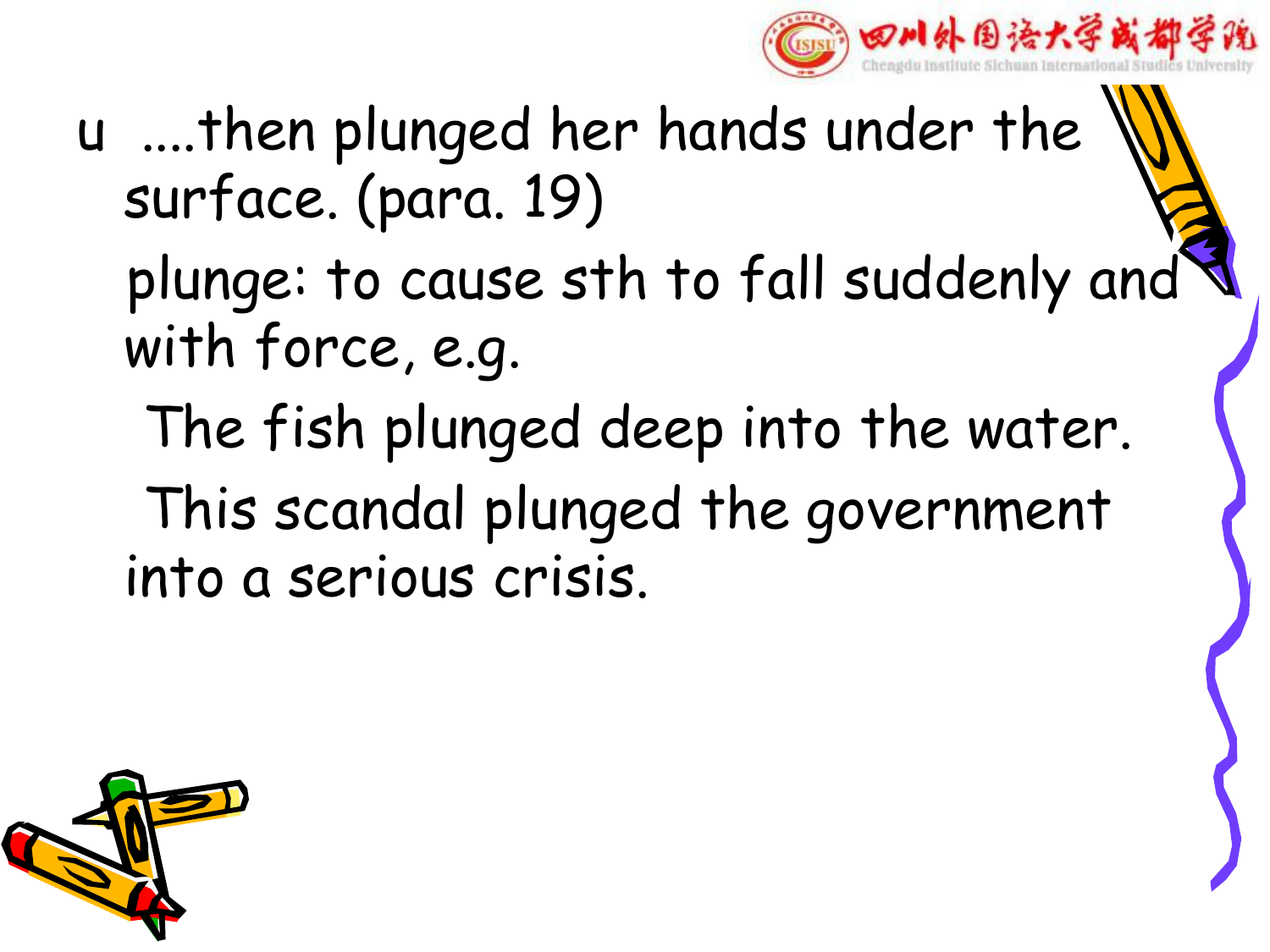

- u ....then plunged her hands under the surface. (para. 19)
	- plunge: to cause sth to fall suddenly and with force, e.g.
	- The fish plunged deep into the water. This scandal plunged the government into a serious crisis.

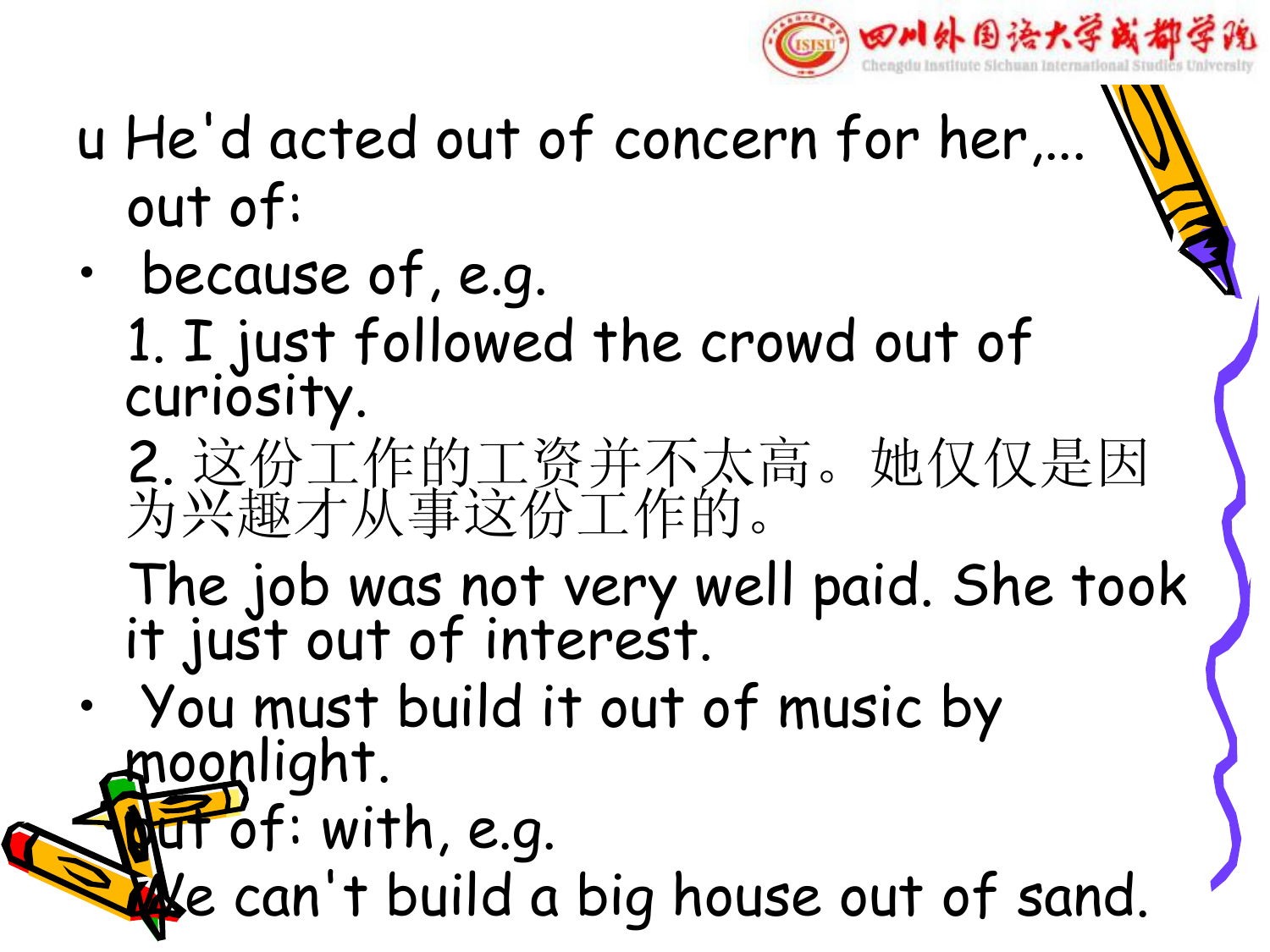

- u He'd acted out of concern for her,... \\\ out of:
- because of, e.g. 1. I just followed the crowd out of curiosity.
	- 2. 这份工作的工资并不太高。她仅仅是因 为兴趣才从事这份工作的。
	- The job was not very well paid. She took it just out of interest.
- You must build it out of music by moonlight.
	- $\overline{u}$  of: with, e.g.
		- We can't build a big house out of sand.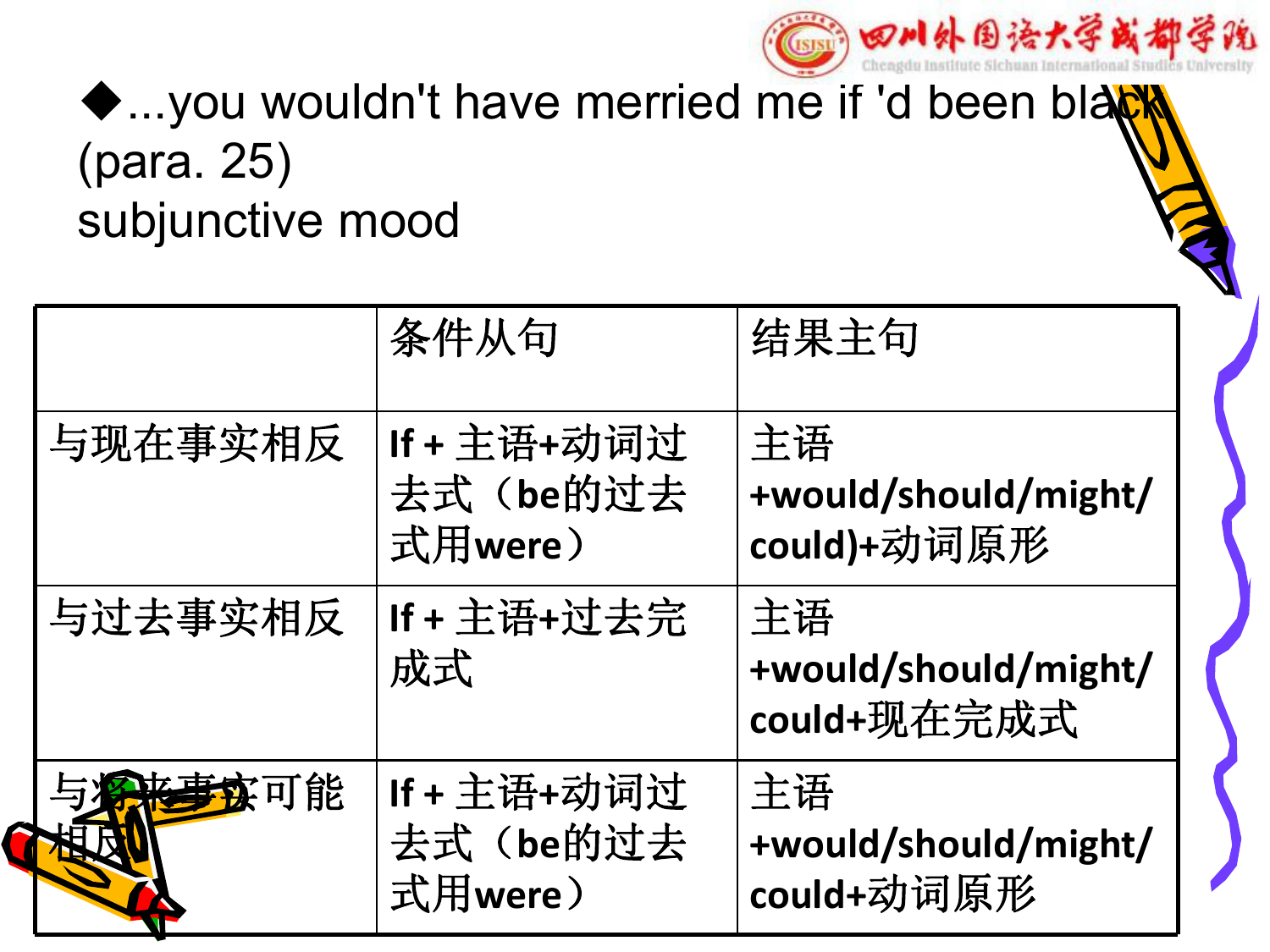

#### ◆...you wouldn't have merried me if 'd been black (para. 25) subjunctive mood

|         | 条件从句                              | 结果主句                                      |  |
|---------|-----------------------------------|-------------------------------------------|--|
| 与现在事实相反 | If+主语+动词过<br>去式(be的过去)<br>式用were) | 主语<br>+would/should/might/<br>could)+动词原形 |  |
| 与过去事实相反 | If+主语+过去完<br>成式                   | 主语<br>+would/should/might/<br>could+现在完成式 |  |
| 安东可能    | If+主语+动词过<br>去式(be的过去<br>式用were)  | 主语<br>+would/should/might/<br>could+动词原形  |  |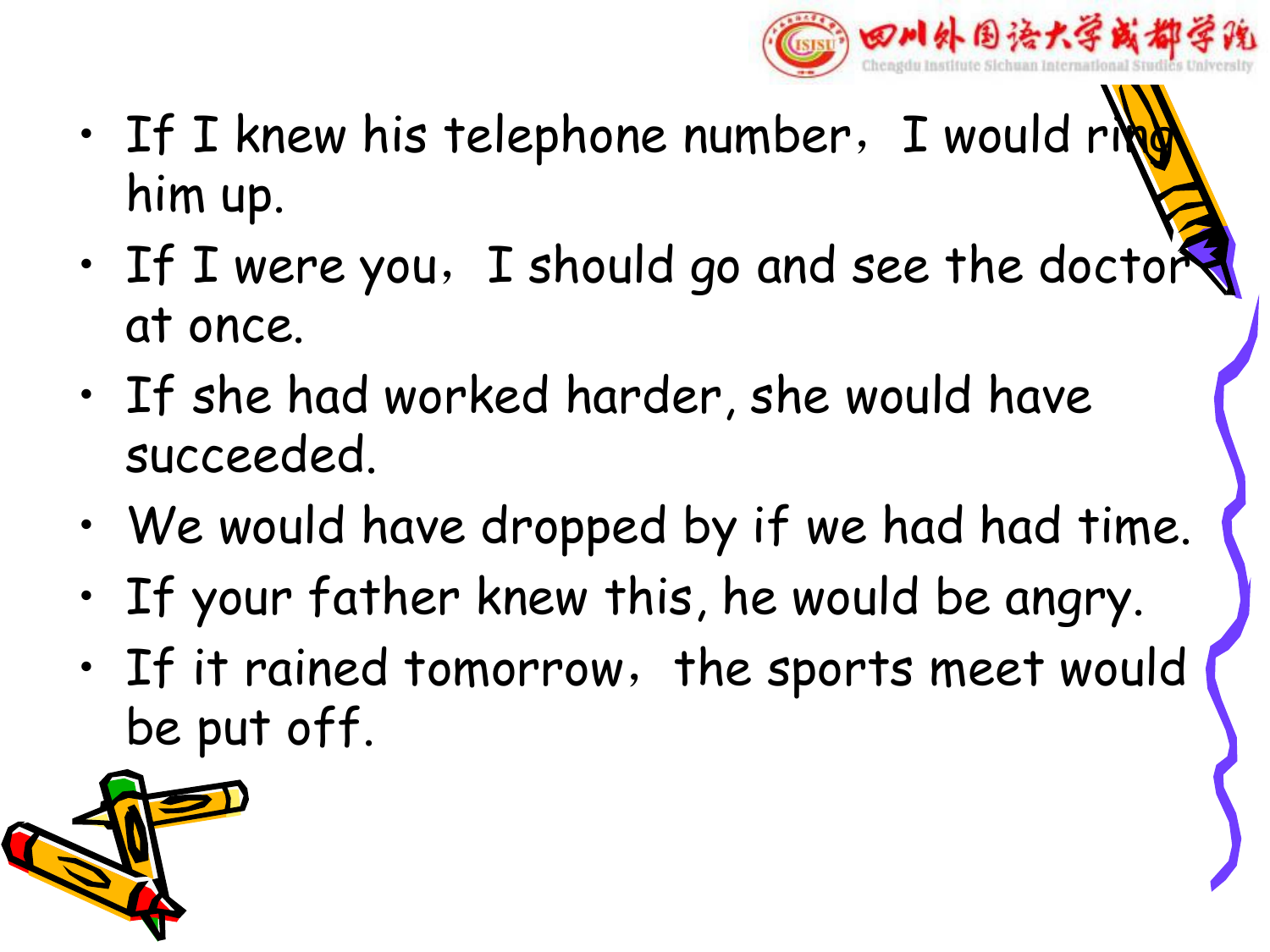

- If I knew his telephone number, I would  $r$ him up.
- If I were you, I should go and see the doctor at once.
- If she had worked harder, she would have succeeded.
- We would have dropped by if we had had time.
- If your father knew this, he would be angry.
- If it rained tomorrow, the sports meet would be put off.

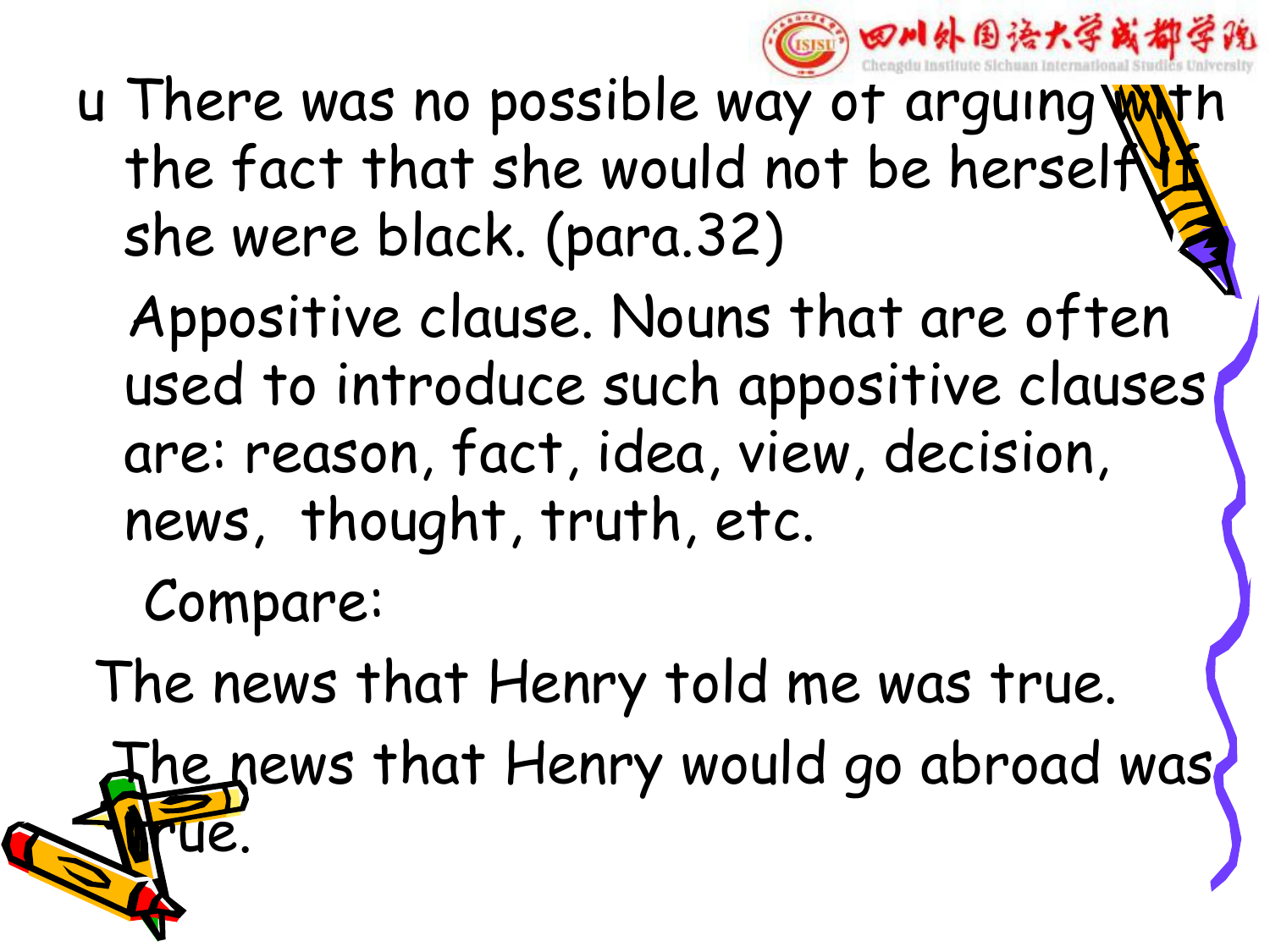

u There was no possible way ot arguing with the fact that she would not be herself she were black. (para.32)

Appositive clause. Nouns that are often used to introduce such appositive clauses are: reason, fact, idea, view, decision, news, thought, truth, etc.

Compare:

The news that Henry told me was true.

he news that Henry would go abroad was  $I$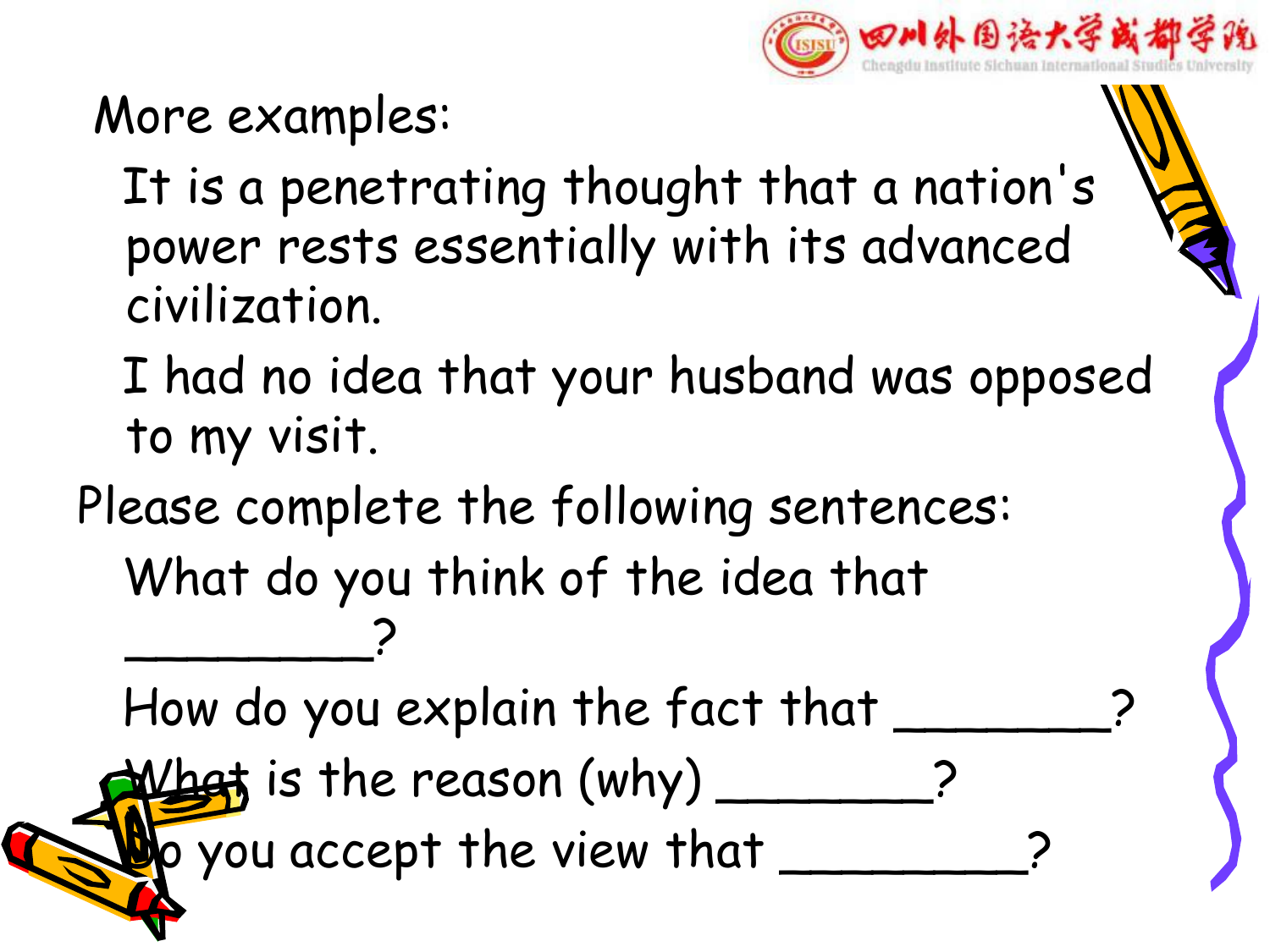

#### More examples:

- It is a penetrating thought that a nation's  $s$   $\mathbf{A}$ power rests essentially with its advanced civilization.
- I had no idea that your husband was opposed to my visit.
- Please complete the following sentences: What do you think of the idea that

\_\_\_\_\_\_\_\_? How do you explain the fact that What is the reason (why)  $\_$ p you accept the view that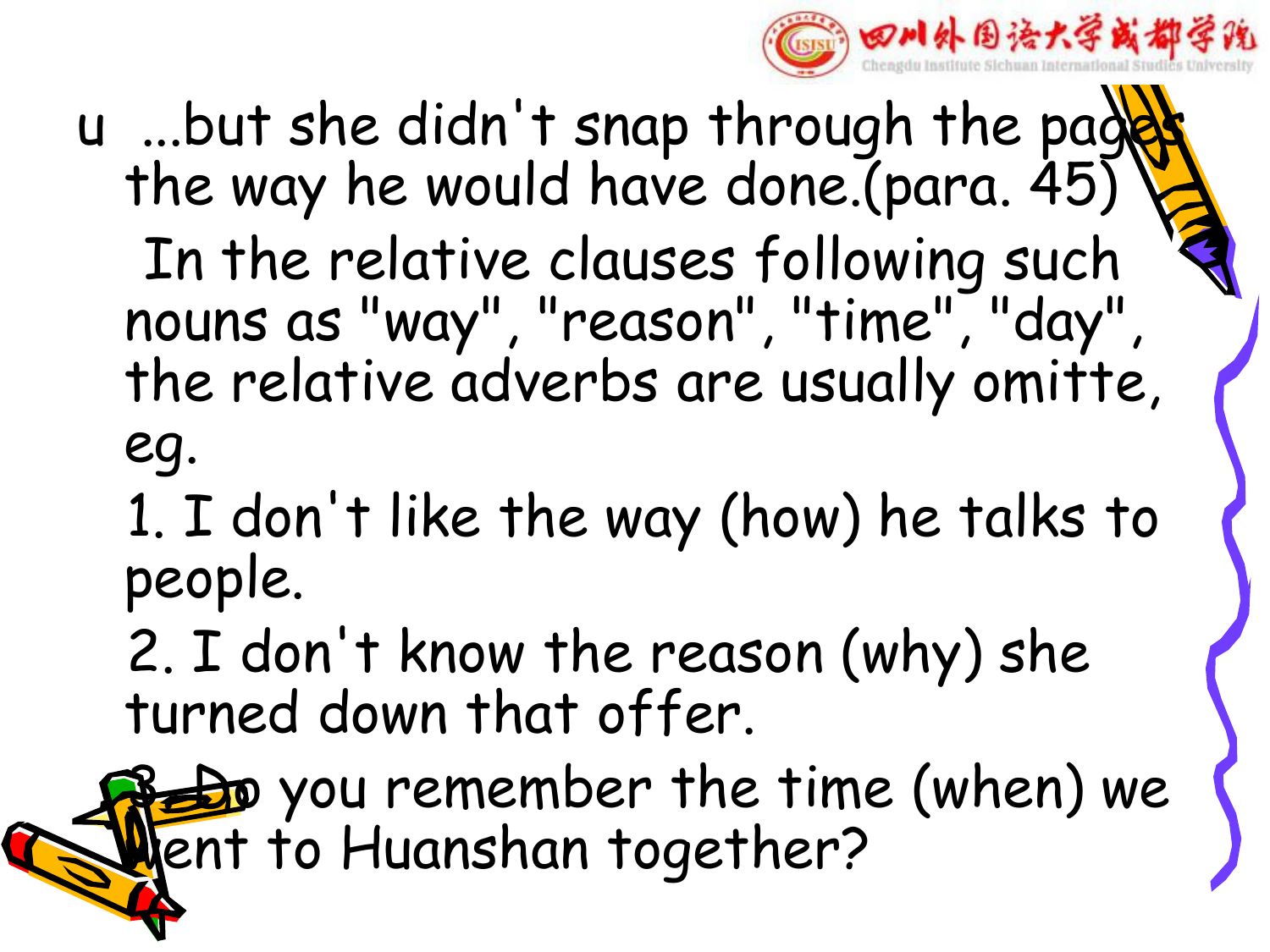

u ...but she didn't snap through the pages the way he would have done.(para. 45) In the relative clauses following such nouns as "way", "reason", "time", "day", which , the relative adverbs are usually omitte, eg.

1. I don 't like the way (how) he talks to people.

2. I don 't know the reason (why) she turned down that offer.

Be you remember the time (when) we jent to Huanshan together?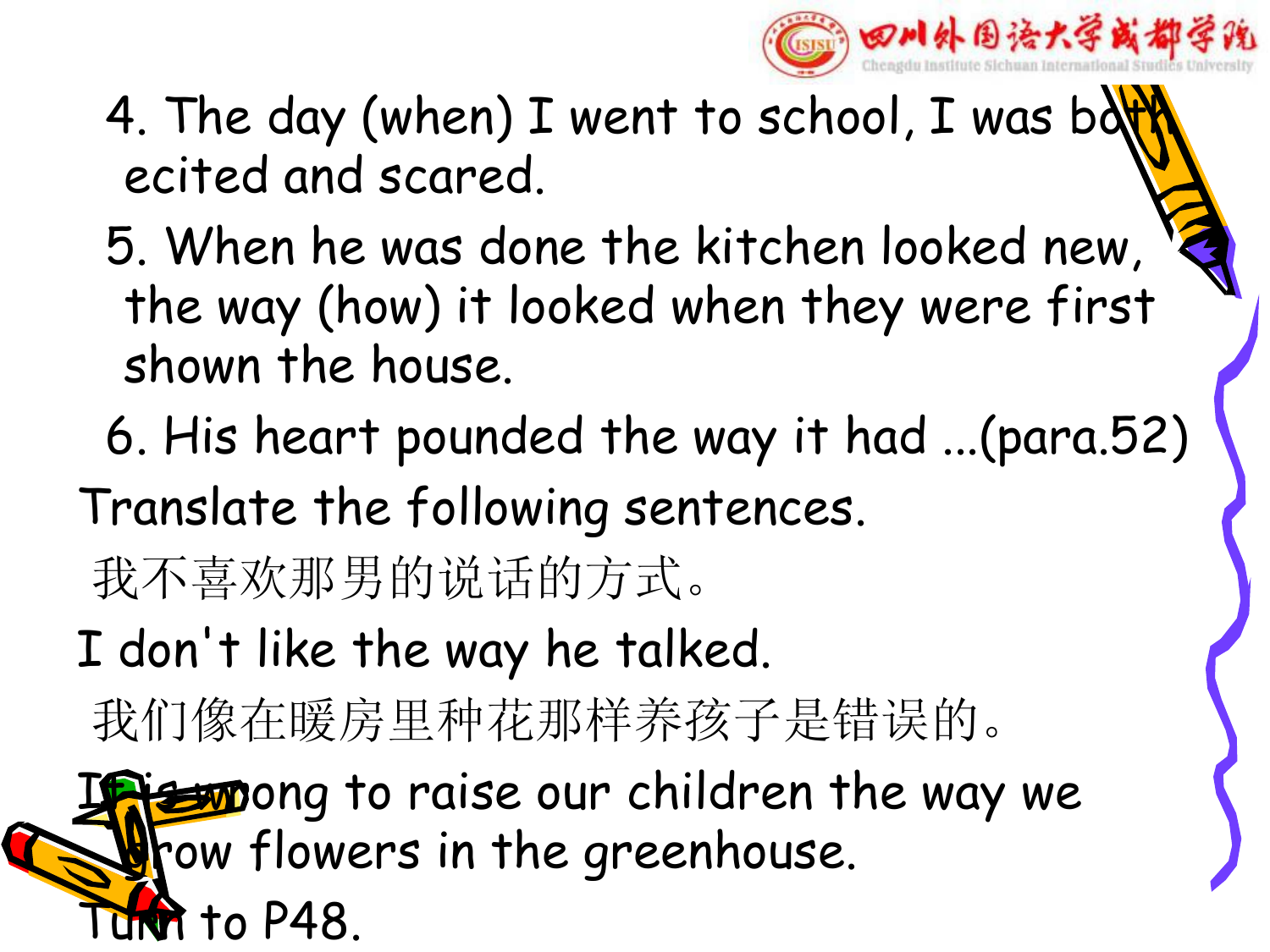

- 4. The day (when) I went to school, I was  $bd$ ecited and scared.
- 5. When he was done the kitchen looked new, the way (how) it looked when they were first shown the house.
- 6. His heart pounded the way it had ...(para.52)
- Translate the following sentences.
- 我不喜欢那男的说话的方式。
- I don 't like the way he talked.
- 我们像在暖房里种花那样养孩子是错误的。
- is is the way we Fow flowers in the greenhouse. **R** to P48.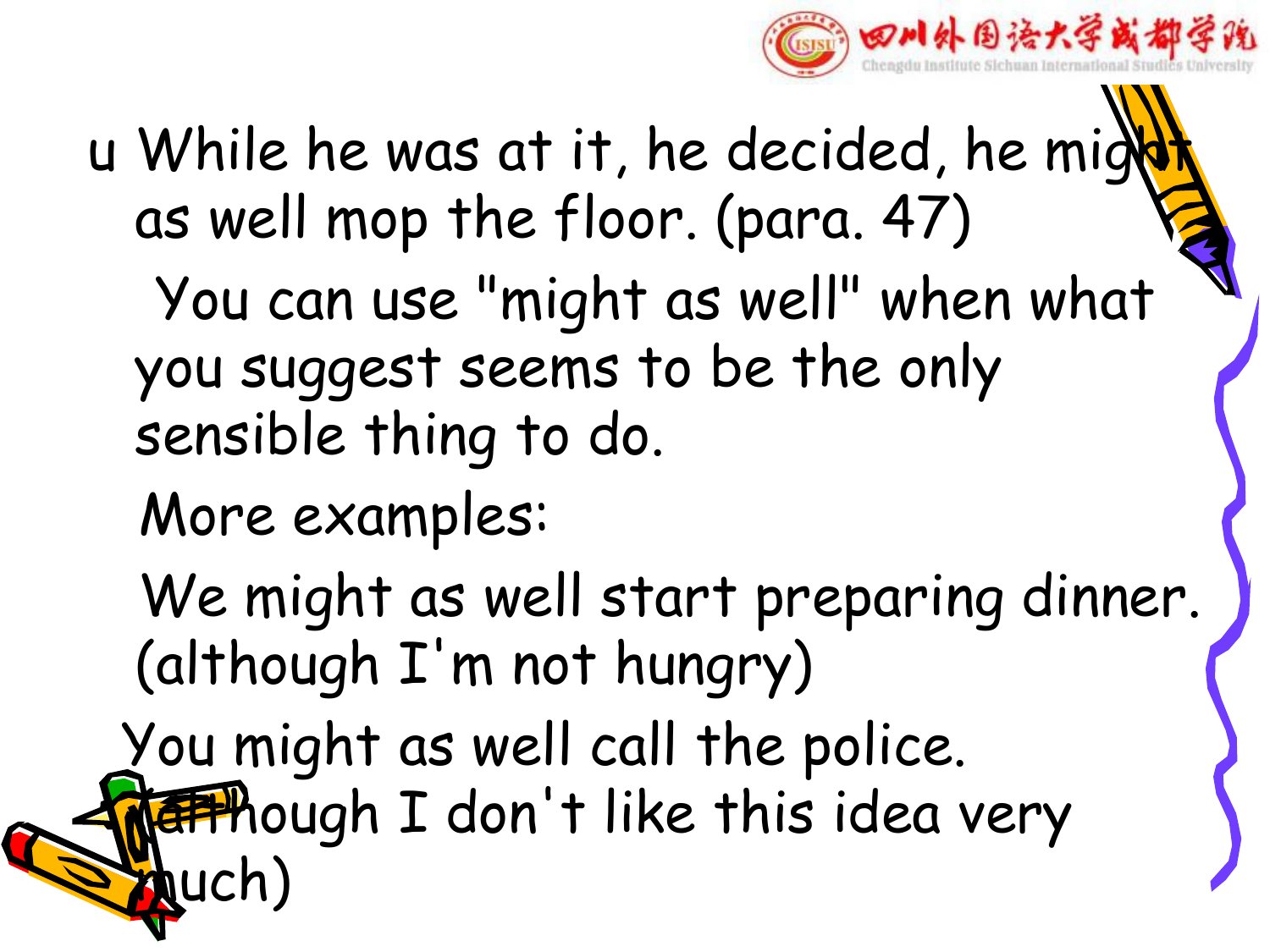

u While he was at it, he decided, he mid as well mop the floor. (para. 47)

You can use "might as well" when what you suggest seems to be the only sensible thing to do.

More examples:

We might as well start preparing dinner. (although I' m not hungry)

You might as well call the police. **TEFT**hough I don't like this idea very  $J$ ch)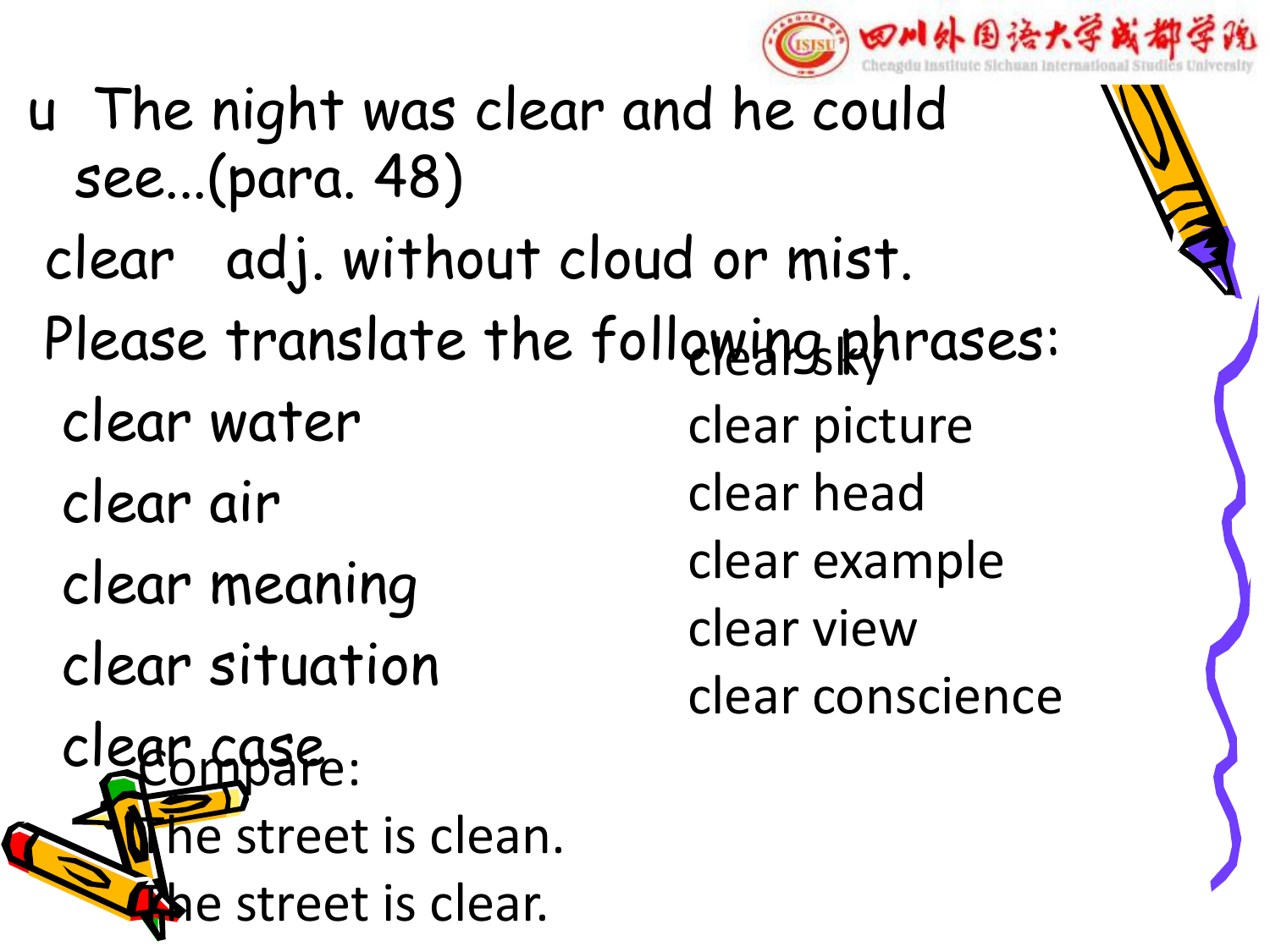

u The night was clear and he could see...(para. 48)

- clear adj. without cloud or mist.
- Please translate the following phrases:
- clear water
- clear air
- clear meaning
- clear situation

clear case **EGGGSEE:** he street is clean. **The street is clear.** 

clear picture clear head clear example clear view clear conscience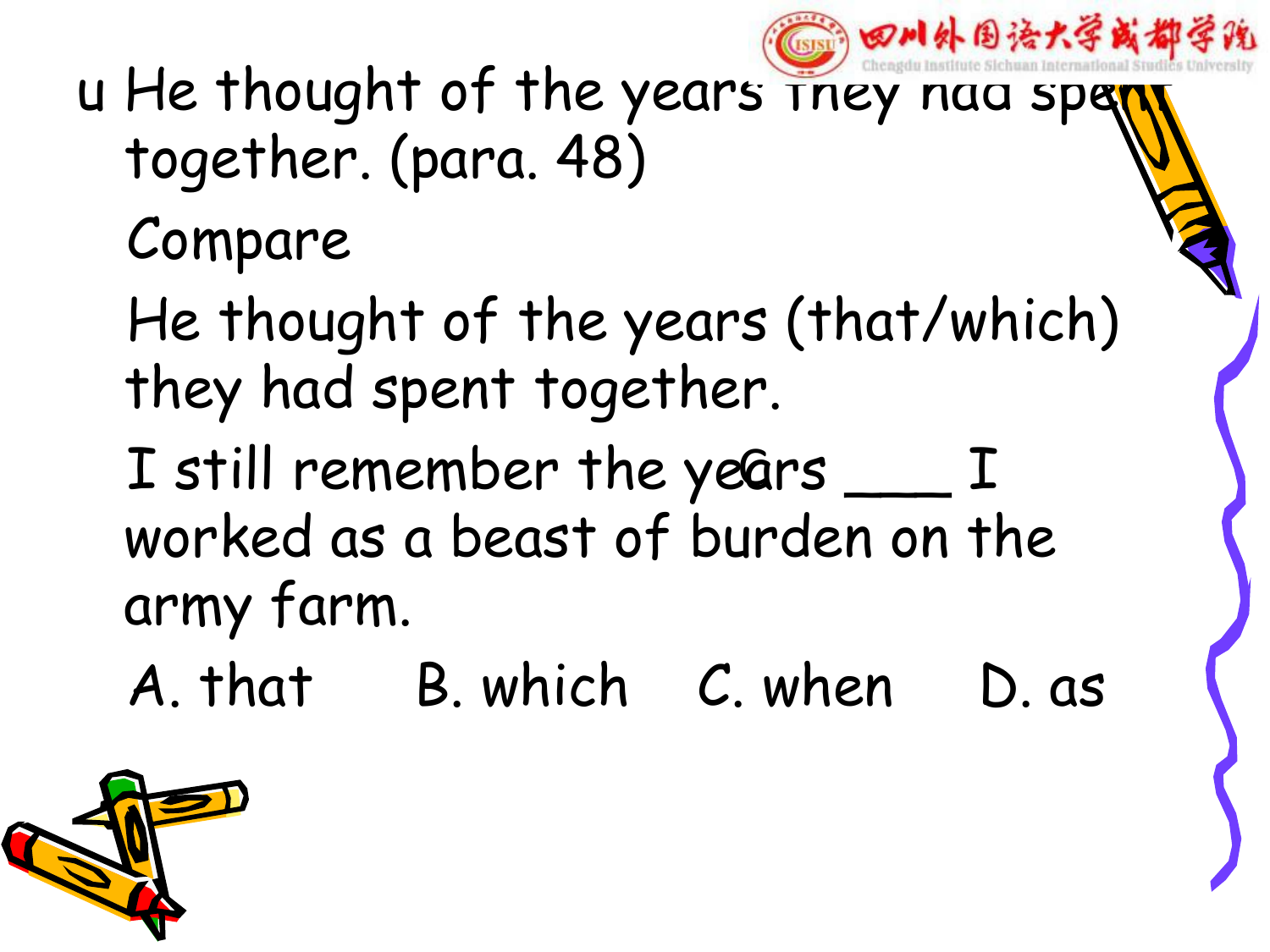

u He thought of the years they naa spe together. (para. 48)

Compare

- He thought of the years (that/which) they had spent together.
- I still remember the years \_\_\_ I worked as a beast of burden on the army farm.
- A. that B. which C. when D. as

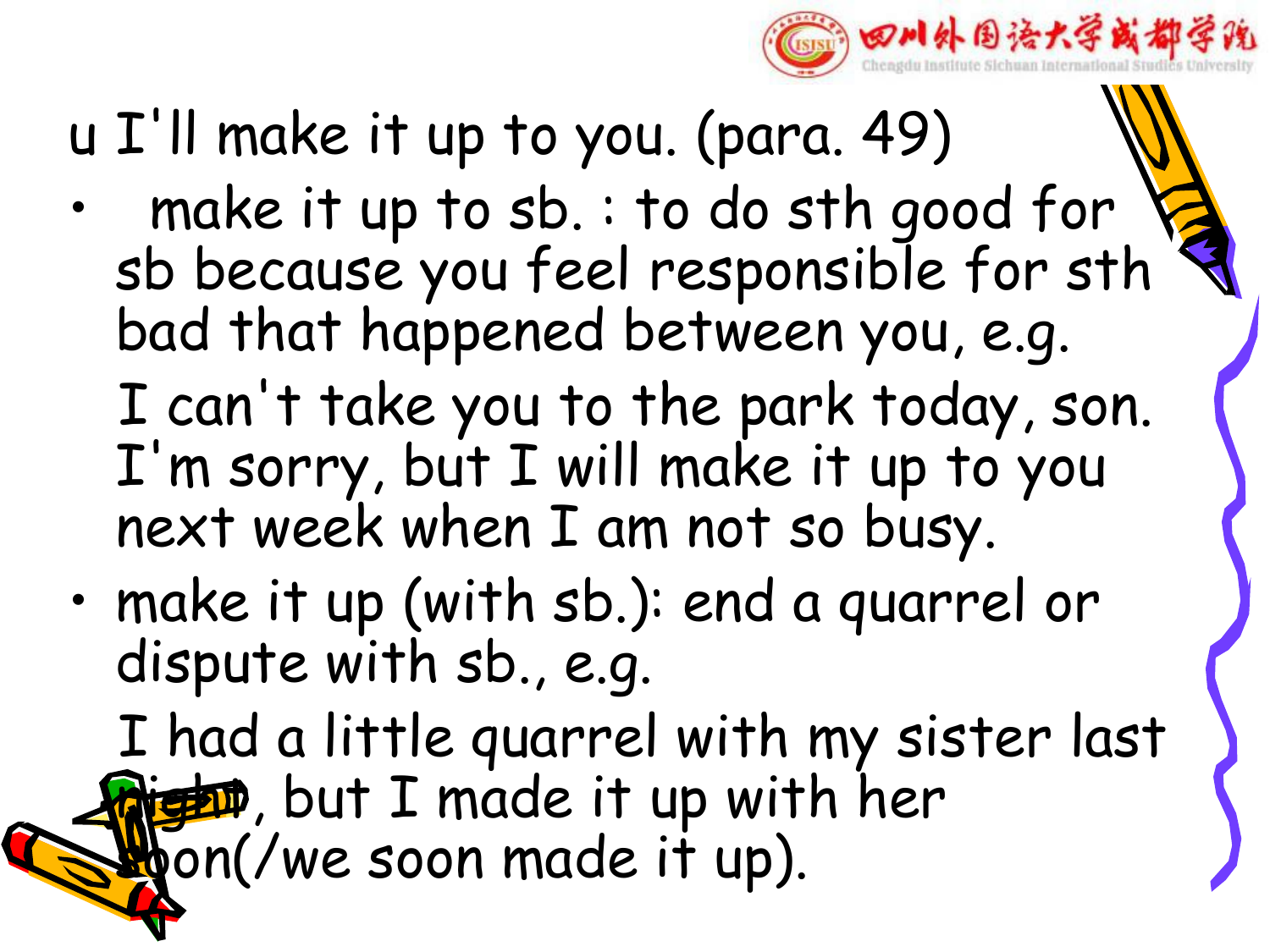

u I'll make it up to you. (para. 49)

- make it up to sb. : to do sth good for sb because you feel responsible for sth bad that happened between you, e.g. I can 't take you to the park today, son. I' m sorry, but I will make it up to you next week when I am not so busy.
- make it up (with sb.): end a quarrel or dispute with sb., e.g.

I had a little quarrel with my sister last the fighth, but I made it up with her soon made it up).